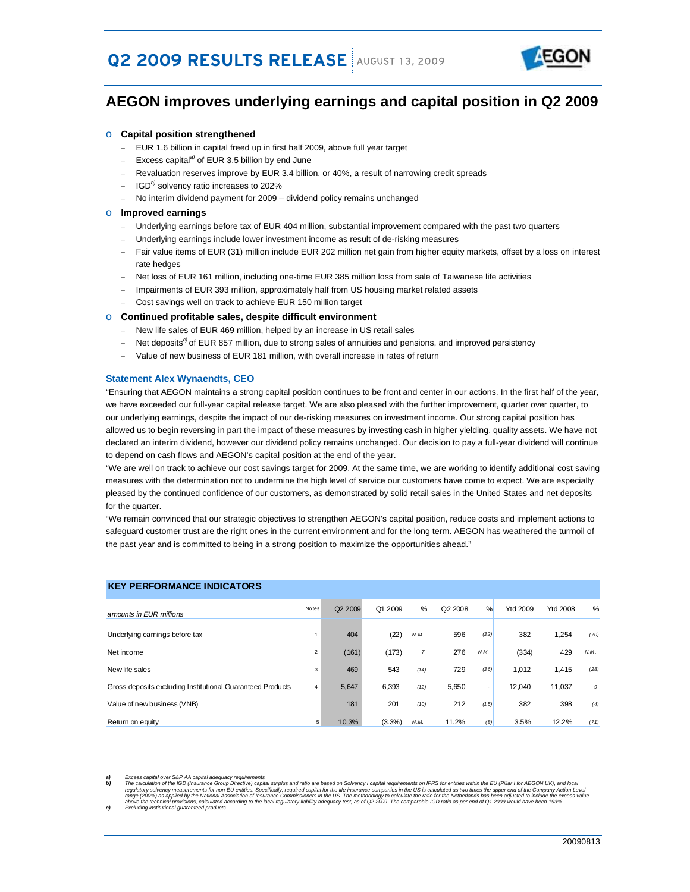# **Q2 2009 RESULTS RELEASE** AUGUST 13, 2009



# **AEGON improves underlying earnings and capital position in Q2 2009**

#### o **Capital position strengthened**

- EUR 1.6 billion in capital freed up in first half 2009, above full year target
- − Excess capital*a)* of EUR 3.5 billion by end June
- − Revaluation reserves improve by EUR 3.4 billion, or 40%, a result of narrowing credit spreads
- − IGD*b)* solvency ratio increases to 202%
- No interim dividend payment for 2009 dividend policy remains unchanged

#### o **Improved earnings**

- Underlying earnings before tax of EUR 404 million, substantial improvement compared with the past two quarters
- Underlying earnings include lower investment income as result of de-risking measures
- Fair value items of EUR (31) million include EUR 202 million net gain from higher equity markets, offset by a loss on interest rate hedges
- Net loss of EUR 161 million, including one-time EUR 385 million loss from sale of Taiwanese life activities
- Impairments of EUR 393 million, approximately half from US housing market related assets
- − Cost savings well on track to achieve EUR 150 million target

#### o **Continued profitable sales, despite difficult environment**

- New life sales of EUR 469 million, helped by an increase in US retail sales
- Net deposits<sup>c)</sup> of EUR 857 million, due to strong sales of annuities and pensions, and improved persistency
- Value of new business of EUR 181 million, with overall increase in rates of return

#### **Statement Alex Wynaendts, CEO**

"Ensuring that AEGON maintains a strong capital position continues to be front and center in our actions. In the first half of the year, we have exceeded our full-year capital release target. We are also pleased with the further improvement, quarter over quarter, to our underlying earnings, despite the impact of our de-risking measures on investment income. Our strong capital position has allowed us to begin reversing in part the impact of these measures by investing cash in higher yielding, quality assets. We have not declared an interim dividend, however our dividend policy remains unchanged. Our decision to pay a full-year dividend will continue to depend on cash flows and AEGON's capital position at the end of the year.

"We are well on track to achieve our cost savings target for 2009. At the same time, we are working to identify additional cost saving measures with the determination not to undermine the high level of service our customers have come to expect. We are especially pleased by the continued confidence of our customers, as demonstrated by solid retail sales in the United States and net deposits for the quarter.

"We remain convinced that our strategic objectives to strengthen AEGON's capital position, reduce costs and implement actions to safeguard customer trust are the right ones in the current environment and for the long term. AEGON has weathered the turmoil of the past year and is committed to being in a strong position to maximize the opportunities ahead."

| <b>KEY PERFORMANCE INDICATORS</b>                          |                |                     |         |                |         |                          |                 |                 |      |
|------------------------------------------------------------|----------------|---------------------|---------|----------------|---------|--------------------------|-----------------|-----------------|------|
| amounts in EUR millions                                    | Notes          | Q <sub>2</sub> 2009 | Q1 2009 | %              | Q2 2008 | %                        | <b>Ytd 2009</b> | <b>Ytd 2008</b> | %    |
| Underlying earnings before tax                             |                | 404                 | (22)    | N.M.           | 596     | (32)                     | 382             | 1,254           | (70) |
| Net income                                                 | $\overline{2}$ | (161)               | (173)   | $\overline{7}$ | 276     | N.M.                     | (334)           | 429             | N.M. |
| New life sales                                             | 3              | 469                 | 543     | (14)           | 729     | (36)                     | 1.012           | 1,415           | (28) |
| Gross deposits excluding Institutional Guaranteed Products | 4              | 5,647               | 6,393   | (12)           | 5,650   | $\overline{\phantom{a}}$ | 12.040          | 11,037          | 9    |
| Value of new business (VNB)                                |                | 181                 | 201     | (10)           | 212     | (15)                     | 382             | 398             | (4)  |
| Return on equity                                           | 5              | 10.3%               | (3.3%)  | N.M.           | 11.2%   | (8)                      | 3.5%            | 12.2%           | (71) |

By Excess capital over S&P AA capital adequacy requirements<br>In the capital over the GD (Insurance Group Directive) capital surplus and ratio are based on Solvency I capital requirements on IFRS for entities within the EU ( above the technical provisions, calculated according to the local regulatory liability adequacy test, as of Q2 2009. The comparable IGD ratio as per end of Q1 2009 would have been 193%.<br>Excluding institutional guaranteed p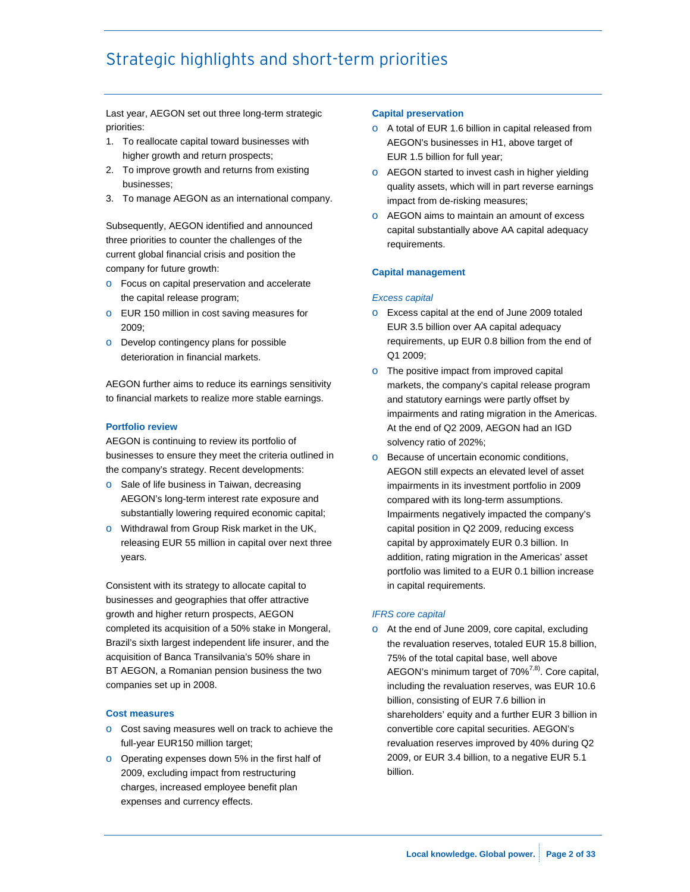# Strategic highlights and short-term priorities

Last year, AEGON set out three long-term strategic priorities:

- 1. To reallocate capital toward businesses with higher growth and return prospects;
- 2. To improve growth and returns from existing businesses;
- 3. To manage AEGON as an international company.

Subsequently, AEGON identified and announced three priorities to counter the challenges of the current global financial crisis and position the company for future growth:

- o Focus on capital preservation and accelerate the capital release program;
- o EUR 150 million in cost saving measures for 2009;
- o Develop contingency plans for possible deterioration in financial markets.

AEGON further aims to reduce its earnings sensitivity to financial markets to realize more stable earnings.

### **Portfolio review**

AEGON is continuing to review its portfolio of businesses to ensure they meet the criteria outlined in the company's strategy. Recent developments:

- o Sale of life business in Taiwan, decreasing AEGON's long-term interest rate exposure and substantially lowering required economic capital;
- o Withdrawal from Group Risk market in the UK, releasing EUR 55 million in capital over next three years.

Consistent with its strategy to allocate capital to businesses and geographies that offer attractive growth and higher return prospects, AEGON completed its acquisition of a 50% stake in Mongeral, Brazil's sixth largest independent life insurer, and the acquisition of Banca Transilvania's 50% share in BT AEGON, a Romanian pension business the two companies set up in 2008.

#### **Cost measures**

- o Cost saving measures well on track to achieve the full-year EUR150 million target;
- o Operating expenses down 5% in the first half of 2009, excluding impact from restructuring charges, increased employee benefit plan expenses and currency effects.

#### **Capital preservation**

- o A total of EUR 1.6 billion in capital released from AEGON's businesses in H1, above target of EUR 1.5 billion for full year;
- o AEGON started to invest cash in higher yielding quality assets, which will in part reverse earnings impact from de-risking measures;
- o AEGON aims to maintain an amount of excess capital substantially above AA capital adequacy requirements.

#### **Capital management**

#### *Excess capital*

- o Excess capital at the end of June 2009 totaled EUR 3.5 billion over AA capital adequacy requirements, up EUR 0.8 billion from the end of Q1 2009;
- o The positive impact from improved capital markets, the company's capital release program and statutory earnings were partly offset by impairments and rating migration in the Americas. At the end of Q2 2009, AEGON had an IGD solvency ratio of 202%;
- **o** Because of uncertain economic conditions, AEGON still expects an elevated level of asset impairments in its investment portfolio in 2009 compared with its long-term assumptions. Impairments negatively impacted the company's capital position in Q2 2009, reducing excess capital by approximately EUR 0.3 billion. In addition, rating migration in the Americas' asset portfolio was limited to a EUR 0.1 billion increase in capital requirements.

#### *IFRS core capital*

o At the end of June 2009, core capital, excluding the revaluation reserves, totaled EUR 15.8 billion, 75% of the total capital base, well above AEGON's minimum target of  $70\%^{7,8}$ . Core capital, including the revaluation reserves, was EUR 10.6 billion, consisting of EUR 7.6 billion in shareholders' equity and a further EUR 3 billion in convertible core capital securities. AEGON's revaluation reserves improved by 40% during Q2 2009, or EUR 3.4 billion, to a negative EUR 5.1 billion.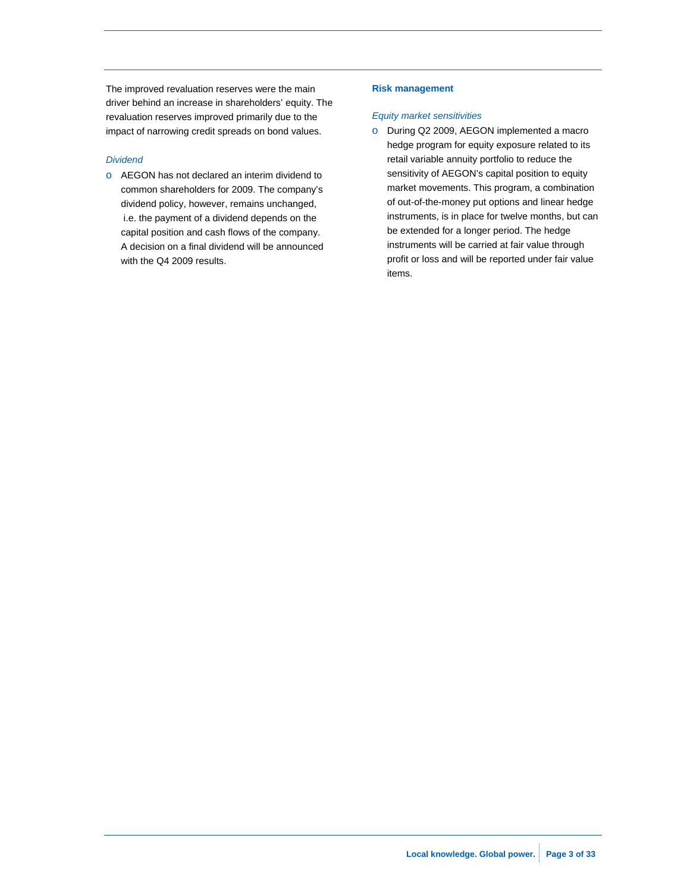The improved revaluation reserves were the main driver behind an increase in shareholders' equity. The revaluation reserves improved primarily due to the impact of narrowing credit spreads on bond values.

#### *Dividend*

o AEGON has not declared an interim dividend to common shareholders for 2009. The company's dividend policy, however, remains unchanged, i.e. the payment of a dividend depends on the capital position and cash flows of the company. A decision on a final dividend will be announced with the Q4 2009 results.

#### **Risk management**

#### *Equity market sensitivities*

o During Q2 2009, AEGON implemented a macro hedge program for equity exposure related to its retail variable annuity portfolio to reduce the sensitivity of AEGON's capital position to equity market movements. This program, a combination of out-of-the-money put options and linear hedge instruments, is in place for twelve months, but can be extended for a longer period. The hedge instruments will be carried at fair value through profit or loss and will be reported under fair value items.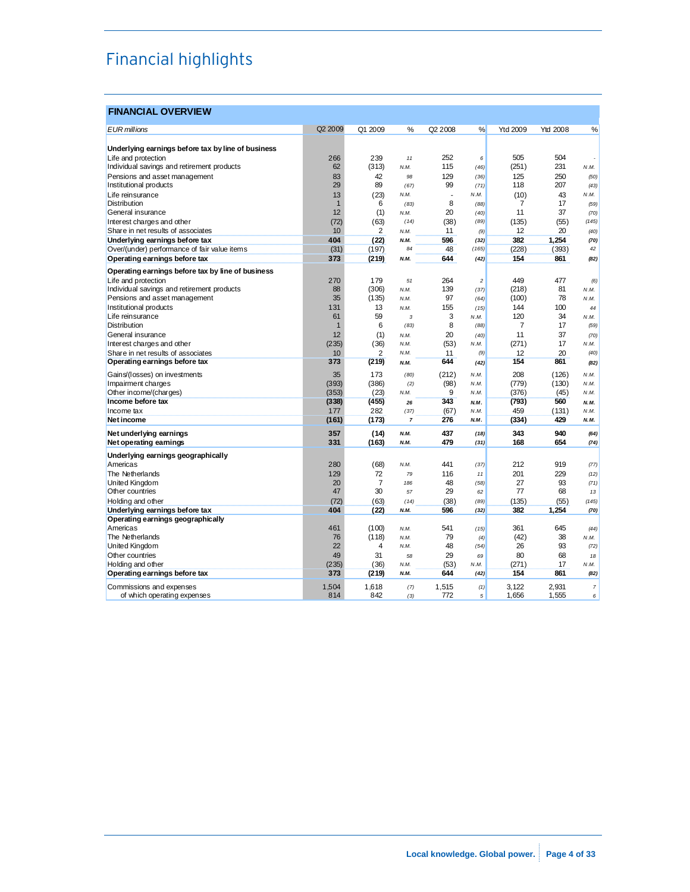# Financial highlights

### **FINANCIAL OVERVIEW**

| <b>EUR</b> millions                                | Q2 2009      | Q1 2009        | %              | Q <sub>2</sub> 2008 | %                | Ytd 2009 | <b>Ytd 2008</b> | %              |
|----------------------------------------------------|--------------|----------------|----------------|---------------------|------------------|----------|-----------------|----------------|
|                                                    |              |                |                |                     |                  |          |                 |                |
| Underlying earnings before tax by line of business |              |                |                |                     |                  |          |                 |                |
| Life and protection                                | 266          | 239            | 11             | 252                 | 6                | 505      | 504             |                |
| Individual savings and retirement products         | 62           | (313)          | N.M.           | 115                 | (46)             | (251)    | 231             | N.M.           |
| Pensions and asset management                      | 83           | 42             | 98             | 129                 | (36)             | 125      | 250             | (50)           |
| Institutional products                             | 29           | 89             | (67)           | 99                  | (71)             | 118      | 207             | (43)           |
| Life reinsurance                                   | 13           | (23)           | N.M.           |                     | N.M.             | (10)     | 43              | N.M.           |
| <b>Distribution</b>                                | $\mathbf{1}$ | 6              | (83)           | 8                   | (88)             | 7        | 17              | (59)           |
| General insurance                                  | 12           | (1)            | N.M.           | 20                  | (40)             | 11       | 37              | (70)           |
| Interest charges and other                         | (72)         | (63)           | (14)           | (38)                | (89)             | (135)    | (55)            | (145)          |
| Share in net results of associates                 | 10           | 2              | N.M.           | 11                  | (9)              | 12       | 20              | (40)           |
| Underlying earnings before tax                     | 404          | (22)           | N.M.           | 596                 | (32)             | 382      | 1,254           | (70)           |
| Over/(under) performance of fair value items       | (31)         | (197)          | 84             | 48                  | (165)            | (228)    | (393)           | 42             |
| Operating earnings before tax                      | 373          | (219)          | N.M.           | 644                 | (42)             | 154      | 861             | (82)           |
| Operating earnings before tax by line of business  |              |                |                |                     |                  |          |                 |                |
| Life and protection                                | 270          | 179            | 51             | 264                 | $\boldsymbol{2}$ | 449      | 477             | (6)            |
| Individual savings and retirement products         | 88           | (306)          | N.M.           | 139                 | (37)             | (218)    | 81              | N.M.           |
| Pensions and asset management                      | 35           | (135)          | N.M.           | 97                  | (64)             | (100)    | 78              | N.M.           |
| Institutional products                             | 131          | 13             | N.M.           | 155                 | (15)             | 144      | 100             | 44             |
| Life reinsurance                                   | 61           | 59             | 3              | 3                   | N.M.             | 120      | 34              | N.M.           |
| <b>Distribution</b>                                | $\mathbf{1}$ | 6              | (83)           | 8                   | (88)             | 7        | 17              | (59)           |
| General insurance                                  | 12           | (1)            | N.M.           | 20                  | (40)             | 11       | 37              | (70)           |
| Interest charges and other                         | (235)        | (36)           | N.M.           | (53)                | N.M.             | (271)    | 17              | N.M.           |
| Share in net results of associates                 | 10           | $\overline{2}$ | N.M.           | 11                  | (9)              | 12       | 20              | (40)           |
| Operating earnings before tax                      | 373          | (219)          | N.M.           | 644                 | (42)             | 154      | 861             | (82)           |
| Gains/(losses) on investments                      | 35           | 173            | (80)           | (212)               | N.M.             | 208      | (126)           | N.M.           |
| Impairment charges                                 | (393)        | (386)          | (2)            | (98)                | N.M.             | (779)    | (130)           | N.M.           |
| Other income/(charges)                             | (353)        | (23)           | N.M.           | 9                   | N.M.             | (376)    | (45)            | N.M.           |
| Income before tax                                  | (338)        | (455)          | 26             | 343                 | N.M.             | (793)    | 560             | N.M.           |
| Income tax                                         | 177          | 282            | (37)           | (67)                | N.M.             | 459      | (131)           | N.M.           |
| <b>Net income</b>                                  | (161)        | (173)          | $\overline{7}$ | 276                 | N.M.             | (334)    | 429             | N.M.           |
| Net underlying earnings                            | 357          | (14)           | N.M.           | 437                 | (18)             | 343      | 940             | (64)           |
| Net operating earnings                             | 331          | (163)          | N.M.           | 479                 | (31)             | 168      | 654             | (74)           |
| Underlying earnings geographically                 |              |                |                |                     |                  |          |                 |                |
| Americas                                           | 280          | (68)           | N.M.           | 441                 | (37)             | 212      | 919             | (77)           |
| The Netherlands                                    | 129          | 72             | 79             | 116                 | 11               | 201      | 229             | (12)           |
| <b>United Kingdom</b>                              | 20           | $\overline{7}$ | 186            | 48                  | (58)             | 27       | 93              | (71)           |
| Other countries                                    | 47           | 30             | 57             | 29                  | 62               | 77       | 68              | 13             |
| Holding and other                                  | (72)         | (63)           | (14)           | (38)                | (89)             | (135)    | (55)            | (145)          |
| Underlying earnings before tax                     | 404          | (22)           | N.M.           | 596                 | (32)             | 382      | 1,254           | (70)           |
| Operating earnings geographically                  |              |                |                |                     |                  |          |                 |                |
| Americas                                           | 461          | (100)          | N.M.           | 541                 | (15)             | 361      | 645             | (44)           |
| The Netherlands                                    | 76           | (118)          | N.M.           | 79                  | (4)              | (42)     | 38              | N.M.           |
| United Kingdom                                     | 22           | 4              | N.M.           | 48                  | (54)             | 26       | 93              | (72)           |
| Other countries                                    | 49           | 31             | 58             | 29                  | 69               | 80       | 68              | 18             |
| Holding and other                                  | (235)        | (36)           | N.M.           | (53)                | N.M.             | (271)    | 17              | N.M.           |
| Operating earnings before tax                      | 373          | (219)          | N.M.           | 644                 | (42)             | 154      | 861             | (82)           |
|                                                    |              |                |                |                     |                  |          |                 |                |
| Commissions and expenses                           | 1,504        | 1,618          | (7)            | 1,515               | (1)              | 3,122    | 2,931           | $\overline{7}$ |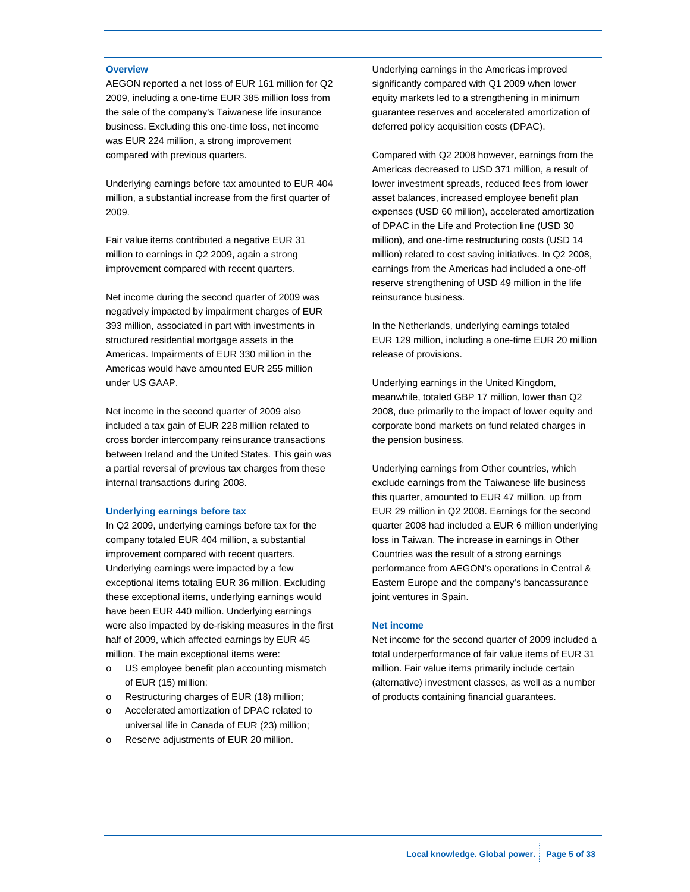#### **Overview**

AEGON reported a net loss of EUR 161 million for Q2 2009, including a one-time EUR 385 million loss from the sale of the company's Taiwanese life insurance business. Excluding this one-time loss, net income was EUR 224 million, a strong improvement compared with previous quarters.

Underlying earnings before tax amounted to EUR 404 million, a substantial increase from the first quarter of 2009.

Fair value items contributed a negative EUR 31 million to earnings in Q2 2009, again a strong improvement compared with recent quarters.

Net income during the second quarter of 2009 was negatively impacted by impairment charges of EUR 393 million, associated in part with investments in structured residential mortgage assets in the Americas. Impairments of EUR 330 million in the Americas would have amounted EUR 255 million under US GAAP.

Net income in the second quarter of 2009 also included a tax gain of EUR 228 million related to cross border intercompany reinsurance transactions between Ireland and the United States. This gain was a partial reversal of previous tax charges from these internal transactions during 2008.

#### **Underlying earnings before tax**

In Q2 2009, underlying earnings before tax for the company totaled EUR 404 million, a substantial improvement compared with recent quarters. Underlying earnings were impacted by a few exceptional items totaling EUR 36 million. Excluding these exceptional items, underlying earnings would have been EUR 440 million. Underlying earnings were also impacted by de-risking measures in the first half of 2009, which affected earnings by EUR 45 million. The main exceptional items were:

- o US employee benefit plan accounting mismatch of EUR (15) million:
- o Restructuring charges of EUR (18) million;
- o Accelerated amortization of DPAC related to universal life in Canada of EUR (23) million;
- o Reserve adjustments of EUR 20 million.

Underlying earnings in the Americas improved significantly compared with Q1 2009 when lower equity markets led to a strengthening in minimum guarantee reserves and accelerated amortization of deferred policy acquisition costs (DPAC).

Compared with Q2 2008 however, earnings from the Americas decreased to USD 371 million, a result of lower investment spreads, reduced fees from lower asset balances, increased employee benefit plan expenses (USD 60 million), accelerated amortization of DPAC in the Life and Protection line (USD 30 million), and one-time restructuring costs (USD 14 million) related to cost saving initiatives. In Q2 2008, earnings from the Americas had included a one-off reserve strengthening of USD 49 million in the life reinsurance business.

In the Netherlands, underlying earnings totaled EUR 129 million, including a one-time EUR 20 million release of provisions.

Underlying earnings in the United Kingdom, meanwhile, totaled GBP 17 million, lower than Q2 2008, due primarily to the impact of lower equity and corporate bond markets on fund related charges in the pension business.

Underlying earnings from Other countries, which exclude earnings from the Taiwanese life business this quarter, amounted to EUR 47 million, up from EUR 29 million in Q2 2008. Earnings for the second quarter 2008 had included a EUR 6 million underlying loss in Taiwan. The increase in earnings in Other Countries was the result of a strong earnings performance from AEGON's operations in Central & Eastern Europe and the company's bancassurance joint ventures in Spain.

#### **Net income**

Net income for the second quarter of 2009 included a total underperformance of fair value items of EUR 31 million. Fair value items primarily include certain (alternative) investment classes, as well as a number of products containing financial guarantees.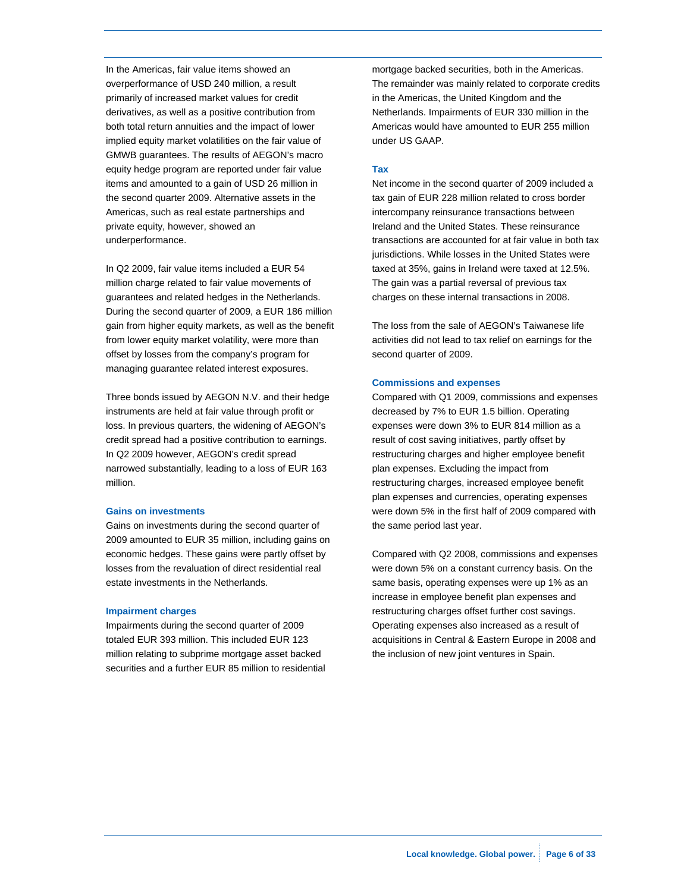In the Americas, fair value items showed an overperformance of USD 240 million, a result primarily of increased market values for credit derivatives, as well as a positive contribution from both total return annuities and the impact of lower implied equity market volatilities on the fair value of GMWB guarantees. The results of AEGON's macro equity hedge program are reported under fair value items and amounted to a gain of USD 26 million in the second quarter 2009. Alternative assets in the Americas, such as real estate partnerships and private equity, however, showed an underperformance.

In Q2 2009, fair value items included a EUR 54 million charge related to fair value movements of guarantees and related hedges in the Netherlands. During the second quarter of 2009, a EUR 186 million gain from higher equity markets, as well as the benefit from lower equity market volatility, were more than offset by losses from the company's program for managing guarantee related interest exposures.

Three bonds issued by AEGON N.V. and their hedge instruments are held at fair value through profit or loss. In previous quarters, the widening of AEGON's credit spread had a positive contribution to earnings. In Q2 2009 however, AEGON's credit spread narrowed substantially, leading to a loss of EUR 163 million.

#### **Gains on investments**

Gains on investments during the second quarter of 2009 amounted to EUR 35 million, including gains on economic hedges. These gains were partly offset by losses from the revaluation of direct residential real estate investments in the Netherlands.

#### **Impairment charges**

Impairments during the second quarter of 2009 totaled EUR 393 million. This included EUR 123 million relating to subprime mortgage asset backed securities and a further EUR 85 million to residential mortgage backed securities, both in the Americas. The remainder was mainly related to corporate credits in the Americas, the United Kingdom and the Netherlands. Impairments of EUR 330 million in the Americas would have amounted to EUR 255 million under US GAAP.

#### **Tax**

Net income in the second quarter of 2009 included a tax gain of EUR 228 million related to cross border intercompany reinsurance transactions between Ireland and the United States. These reinsurance transactions are accounted for at fair value in both tax jurisdictions. While losses in the United States were taxed at 35%, gains in Ireland were taxed at 12.5%. The gain was a partial reversal of previous tax charges on these internal transactions in 2008.

The loss from the sale of AEGON's Taiwanese life activities did not lead to tax relief on earnings for the second quarter of 2009.

#### **Commissions and expenses**

Compared with Q1 2009, commissions and expenses decreased by 7% to EUR 1.5 billion. Operating expenses were down 3% to EUR 814 million as a result of cost saving initiatives, partly offset by restructuring charges and higher employee benefit plan expenses. Excluding the impact from restructuring charges, increased employee benefit plan expenses and currencies, operating expenses were down 5% in the first half of 2009 compared with the same period last year.

Compared with Q2 2008, commissions and expenses were down 5% on a constant currency basis. On the same basis, operating expenses were up 1% as an increase in employee benefit plan expenses and restructuring charges offset further cost savings. Operating expenses also increased as a result of acquisitions in Central & Eastern Europe in 2008 and the inclusion of new joint ventures in Spain.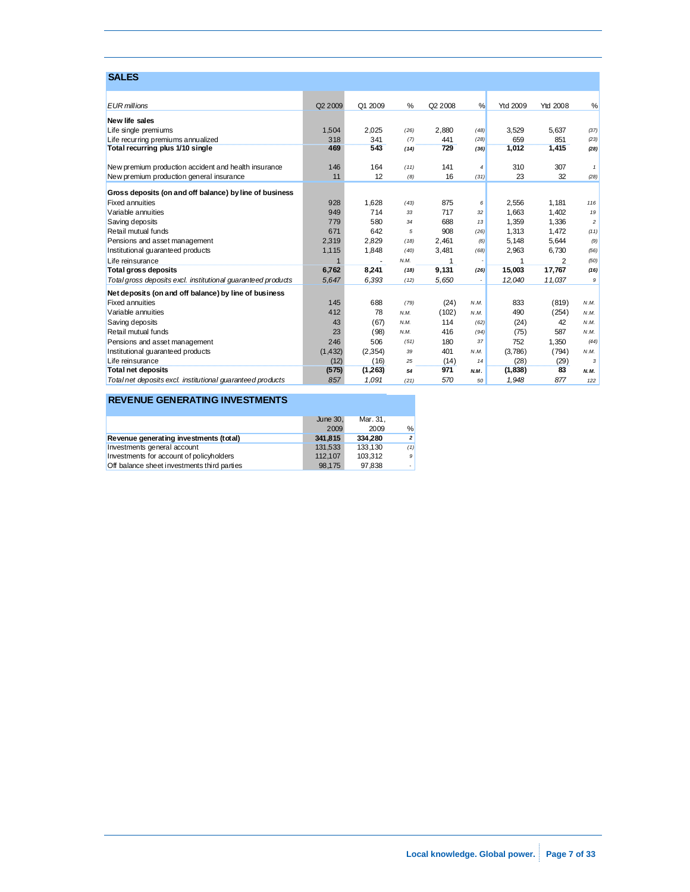### **SALES**

| <b>EUR</b> millions                                          | Q2 2009  | Q1 2009 | %    | Q2 2008  | %              | <b>Ytd 2009</b> | <b>Ytd 2008</b> | %              |
|--------------------------------------------------------------|----------|---------|------|----------|----------------|-----------------|-----------------|----------------|
| New life sales                                               |          |         |      |          |                |                 |                 |                |
| Life single premiums                                         | 1,504    | 2.025   | (26) | 2.880    | (48)           | 3,529           | 5.637           | (37)           |
| Life recurring premiums annualized                           | 318      | 341     | (7)  | 441      | (28)           | 659             | 851             | (23)           |
| Total recurring plus 1/10 single                             | 469      | 543     | (14) | 729      | (36)           | 1,012           | 1,415           | (28)           |
| New premium production accident and health insurance         | 146      | 164     | (11) | 141      | $\overline{4}$ | 310             | 307             | $\mathbf{1}$   |
| New premium production general insurance                     | 11       | 12      | (8)  | 16       | (31)           | 23              | 32              | (28)           |
| Gross deposits (on and off balance) by line of business      |          |         |      |          |                |                 |                 |                |
| <b>Fixed annuities</b>                                       | 928      | 1,628   | (43) | 875      | 6              | 2,556           | 1,181           | 116            |
| Variable annuities                                           | 949      | 714     | 33   | 717      | 32             | 1.663           | 1.402           | 19             |
| Saving deposits                                              | 779      | 580     | 34   | 688      | 13             | 1.359           | 1.336           | $\overline{c}$ |
| Retail mutual funds                                          | 671      | 642     | 5    | 908      | (26)           | 1,313           | 1.472           | (11)           |
| Pensions and asset management                                | 2,319    | 2.829   | (18) | 2.461    | (6)            | 5.148           | 5.644           | (9)            |
| Institutional guaranteed products                            | 1,115    | 1,848   | (40) | 3.481    | (68)           | 2,963           | 6.730           | (56)           |
| Life reinsurance                                             | 1        |         | N.M. | 1        |                | 1               | 2               | (50)           |
| Total gross deposits                                         | 6,762    | 8,241   | (18) | 9,131    | (26)           | 15,003          | 17,767          | (16)           |
| Total gross deposits excl. institutional guaranteed products | 5,647    | 6,393   | (12) | 5,650    |                | 12,040          | 11,037          | 9              |
| Net deposits (on and off balance) by line of business        |          |         |      |          |                |                 |                 |                |
| <b>Fixed annuities</b>                                       | 145      | 688     | (79) | (24)     | N.M.           | 833             | (819)           | N.M.           |
| Variable annuities                                           | 412      | 78      | N.M. | (102)    | N.M.           | 490             | (254)           | N.M.           |
| Saving deposits                                              | 43       | (67)    | N.M. | 114      | (62)           | (24)            | 42              | N.M.           |
| Retail mutual funds                                          | 23       | (98)    | N.M. | 416      | (94)           | (75)            | 587             | N.M.           |
| Pensions and asset management                                | 246      | 506     | (51) | 180      | 37             | 752             | 1.350           | (44)           |
| Institutional guaranteed products                            | (1, 432) | (2,354) | 39   | 401      | N.M.           | (3,786)         | (794)           | N.M.           |
| Life reinsurance                                             | (12)     | (16)    | 25   | (14)<br> | 14             | (28)            | (29)            | 3              |
| Total net deposits                                           | (575)    | (1,263) | 54   | 971      | N.M.           | (1,838)         | 83              | N.M.           |
| Total net deposits excl. institutional quaranteed products   | 857      | 1,091   | (21) | 570      | 50             | 1,948           | 877             | 122            |

### **REVENUE GENERATING INVESTMENTS**

|                                             | June 30, | Mar. 31. |                |
|---------------------------------------------|----------|----------|----------------|
|                                             | 2009     | 2009     | %              |
| Revenue generating investments (total)      | 341.815  | 334.280  | 2 <sup>1</sup> |
| Investments general account                 | 131.533  | 133.130  | (1)            |
| Investments for account of policyholders    | 112.107  | 103.312  | 9              |
| Off balance sheet investments third parties | 98.175   | 97.838   |                |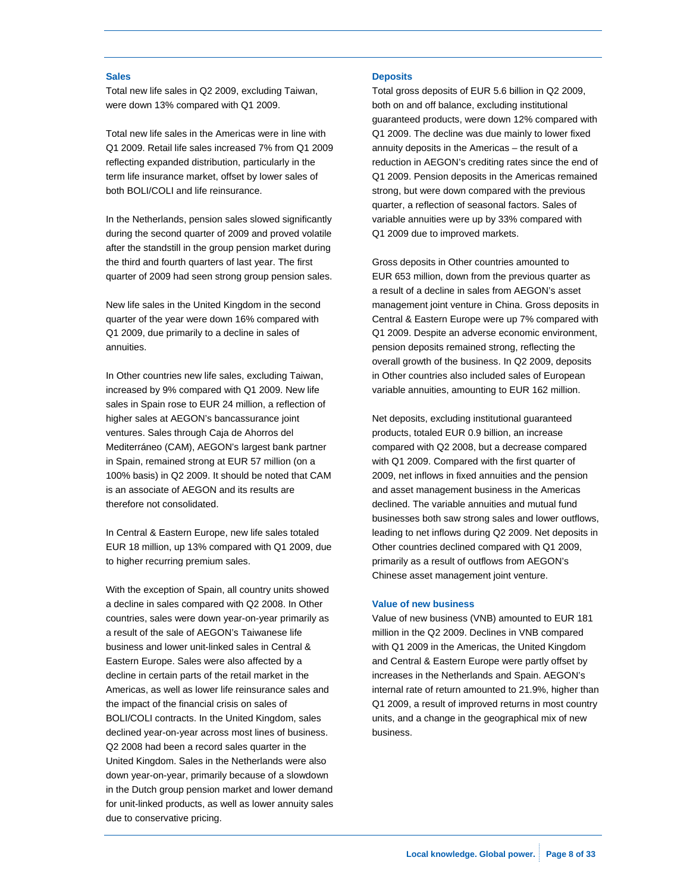#### **Sales**

Total new life sales in Q2 2009, excluding Taiwan, were down 13% compared with Q1 2009.

Total new life sales in the Americas were in line with Q1 2009. Retail life sales increased 7% from Q1 2009 reflecting expanded distribution, particularly in the term life insurance market, offset by lower sales of both BOLI/COLI and life reinsurance.

In the Netherlands, pension sales slowed significantly during the second quarter of 2009 and proved volatile after the standstill in the group pension market during the third and fourth quarters of last year. The first quarter of 2009 had seen strong group pension sales.

New life sales in the United Kingdom in the second quarter of the year were down 16% compared with Q1 2009, due primarily to a decline in sales of annuities.

In Other countries new life sales, excluding Taiwan, increased by 9% compared with Q1 2009. New life sales in Spain rose to EUR 24 million, a reflection of higher sales at AEGON's bancassurance joint ventures. Sales through Caja de Ahorros del Mediterráneo (CAM), AEGON's largest bank partner in Spain, remained strong at EUR 57 million (on a 100% basis) in Q2 2009. It should be noted that CAM is an associate of AEGON and its results are therefore not consolidated.

In Central & Eastern Europe, new life sales totaled EUR 18 million, up 13% compared with Q1 2009, due to higher recurring premium sales.

With the exception of Spain, all country units showed a decline in sales compared with Q2 2008. In Other countries, sales were down year-on-year primarily as a result of the sale of AEGON's Taiwanese life business and lower unit-linked sales in Central & Eastern Europe. Sales were also affected by a decline in certain parts of the retail market in the Americas, as well as lower life reinsurance sales and the impact of the financial crisis on sales of BOLI/COLI contracts. In the United Kingdom, sales declined year-on-year across most lines of business. Q2 2008 had been a record sales quarter in the United Kingdom. Sales in the Netherlands were also down year-on-year, primarily because of a slowdown in the Dutch group pension market and lower demand for unit-linked products, as well as lower annuity sales due to conservative pricing.

#### **Deposits**

Total gross deposits of EUR 5.6 billion in Q2 2009, both on and off balance, excluding institutional guaranteed products, were down 12% compared with Q1 2009. The decline was due mainly to lower fixed annuity deposits in the Americas – the result of a reduction in AEGON's crediting rates since the end of Q1 2009. Pension deposits in the Americas remained strong, but were down compared with the previous quarter, a reflection of seasonal factors. Sales of variable annuities were up by 33% compared with Q1 2009 due to improved markets.

Gross deposits in Other countries amounted to EUR 653 million, down from the previous quarter as a result of a decline in sales from AEGON's asset management joint venture in China. Gross deposits in Central & Eastern Europe were up 7% compared with Q1 2009. Despite an adverse economic environment, pension deposits remained strong, reflecting the overall growth of the business. In Q2 2009, deposits in Other countries also included sales of European variable annuities, amounting to EUR 162 million.

Net deposits, excluding institutional guaranteed products, totaled EUR 0.9 billion, an increase compared with Q2 2008, but a decrease compared with Q1 2009. Compared with the first quarter of 2009, net inflows in fixed annuities and the pension and asset management business in the Americas declined. The variable annuities and mutual fund businesses both saw strong sales and lower outflows, leading to net inflows during Q2 2009. Net deposits in Other countries declined compared with Q1 2009, primarily as a result of outflows from AEGON's Chinese asset management joint venture.

#### **Value of new business**

Value of new business (VNB) amounted to EUR 181 million in the Q2 2009. Declines in VNB compared with Q1 2009 in the Americas, the United Kingdom and Central & Eastern Europe were partly offset by increases in the Netherlands and Spain. AEGON's internal rate of return amounted to 21.9%, higher than Q1 2009, a result of improved returns in most country units, and a change in the geographical mix of new business.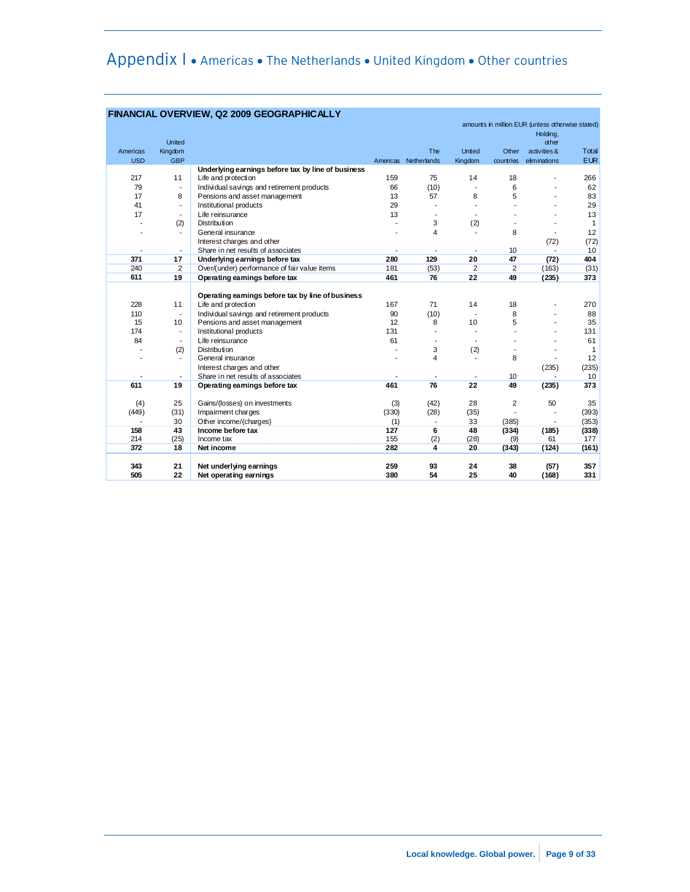# Appendix I • Americas • The Netherlands • United Kingdom • Other countries

|            |                          | <b>FINANCIAL OVERVIEW, Q2 2009 GEOGRAPHICALLY</b>  |       |                      |                |           |                                                  |              |
|------------|--------------------------|----------------------------------------------------|-------|----------------------|----------------|-----------|--------------------------------------------------|--------------|
|            |                          |                                                    |       |                      |                |           | amounts in million EUR (unless otherwise stated) |              |
|            |                          |                                                    |       |                      |                |           | Holding,                                         |              |
|            | United                   |                                                    |       |                      |                |           | $x$ her                                          |              |
| Americas   | Kingdom                  |                                                    |       | The                  | United         | Other     | activities &                                     | Total        |
| <b>USD</b> | <b>GBP</b>               |                                                    |       | Americas Netherlands | Kingdom        | countries | eliminations                                     | <b>EUR</b>   |
|            |                          | Underlying earnings before tax by line of business |       |                      |                |           |                                                  |              |
| 217        | 11                       | Life and protection                                | 159   | 75                   | 14             | 18        |                                                  | 266          |
| 79         | $\overline{\phantom{a}}$ | Individual savings and retirement products         | 66    | (10)                 | $\blacksquare$ | 6         |                                                  | 62           |
| 17         | 8                        | Pensions and asset management                      | 13    | 57                   | 8              | 5         |                                                  | 83           |
| 41         | $\overline{a}$           | Institutional products                             | 29    |                      |                |           |                                                  | 29           |
| 17         | $\overline{\phantom{a}}$ | Life reinsurance                                   | 13    |                      |                |           |                                                  | 13           |
|            | (2)                      | <b>Distribution</b>                                |       | 3                    | (2)            |           |                                                  | $\mathbf{1}$ |
|            | $\overline{\phantom{a}}$ | General insurance                                  |       | $\overline{4}$       |                | 8         |                                                  | 12           |
|            |                          | Interest charges and other                         |       |                      |                |           | (72)                                             | (72)         |
|            | $\blacksquare$           | Share in net results of associates                 |       |                      |                | 10        |                                                  | 10           |
| 371        | 17                       | Underlying earnings before tax                     | 280   | 129                  | 20             | 47        | (72)                                             | 404          |
| 240        | $\overline{2}$           | Over/(under) performance of fair value items       | 181   | (53)                 | 2              | 2         | (163)                                            | (31)         |
| 611        | 19                       | Operating earnings before tax                      | 461   | 76                   | 22             | 49        | (235)                                            | 373          |
|            |                          |                                                    |       |                      |                |           |                                                  |              |
|            |                          | Operating earnings before tax by line of business  |       |                      |                |           |                                                  |              |
| 228        | 11                       | Life and protection                                | 167   | 71                   | 14             | 18        |                                                  | 270          |
| 110        | $\blacksquare$           | Individual savings and retirement products         | 90    | (10)                 |                | 8         |                                                  | 88           |
| 15         | 10                       | Pensions and asset management                      | 12    | 8                    | 10             | 5         |                                                  | 35           |
| 174        | $\overline{\phantom{a}}$ | Institutional products                             | 131   |                      |                |           |                                                  | 131          |
| 84         | $\overline{\phantom{a}}$ | Life reinsurance                                   | 61    |                      |                |           |                                                  | 61           |
|            | (2)                      | <b>Distribution</b>                                |       | 3                    | (2)            |           |                                                  | $\mathbf{1}$ |
|            | $\blacksquare$           | General insurance                                  |       | 4                    |                | 8         |                                                  | 12           |
|            |                          | Interest charges and other                         |       |                      |                |           | (235)                                            | (235)        |
|            |                          | Share in net results of associates                 |       |                      |                | 10        |                                                  | 10           |
| 611        | 19                       | Operating earnings before tax                      | 461   | 76                   | 22             | 49        | (235)                                            | 373          |
|            |                          |                                                    |       |                      |                |           |                                                  |              |
| (4)        | 25                       | Gains/(losses) on investments                      | (3)   | (42)                 | 28             | 2         | 50                                               | 35           |
| (449)      | (31)                     | Impairment charges                                 | (330) | (28)                 | (35)           |           |                                                  | (393)        |
|            | 30                       | Other income/(charges)                             | (1)   |                      | 33             | (385)     |                                                  | (353)        |
| 158        | 43                       | Income before tax                                  | 127   | 6                    | 48             | (334)     | (185)                                            | (338)        |
| 214        | (25)                     | Income tax                                         | 155   | (2)                  | (28)           | (9)       | 61                                               | 177          |
| 372        | 18                       | Net income                                         | 282   | 4                    | 20             | (343)     | (124)                                            | (161)        |
|            |                          |                                                    |       |                      |                |           |                                                  |              |
| 343        | 21                       | Net underlying earnings                            | 259   | 93                   | 24             | 38        | (57)                                             | 357          |
| 505        | 22                       | Net operating earnings                             | 380   | 54                   | 25             | 40        | (168)                                            | 331          |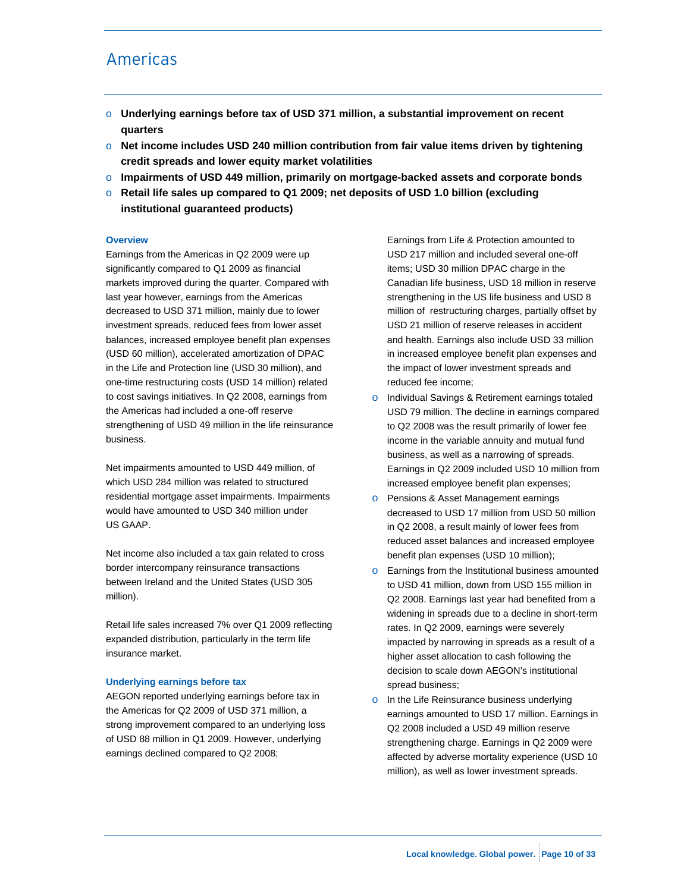# Americas

- o **Underlying earnings before tax of USD 371 million, a substantial improvement on recent quarters**
- o **Net income includes USD 240 million contribution from fair value items driven by tightening credit spreads and lower equity market volatilities**
- o **Impairments of USD 449 million, primarily on mortgage-backed assets and corporate bonds**
- o **Retail life sales up compared to Q1 2009; net deposits of USD 1.0 billion (excluding institutional guaranteed products)**

#### **Overview**

Earnings from the Americas in Q2 2009 were up significantly compared to Q1 2009 as financial markets improved during the quarter. Compared with last year however, earnings from the Americas decreased to USD 371 million, mainly due to lower investment spreads, reduced fees from lower asset balances, increased employee benefit plan expenses (USD 60 million), accelerated amortization of DPAC in the Life and Protection line (USD 30 million), and one-time restructuring costs (USD 14 million) related to cost savings initiatives. In Q2 2008, earnings from the Americas had included a one-off reserve strengthening of USD 49 million in the life reinsurance business.

Net impairments amounted to USD 449 million, of which USD 284 million was related to structured residential mortgage asset impairments. Impairments would have amounted to USD 340 million under US GAAP.

Net income also included a tax gain related to cross border intercompany reinsurance transactions between Ireland and the United States (USD 305 million).

Retail life sales increased 7% over Q1 2009 reflecting expanded distribution, particularly in the term life insurance market.

#### **Underlying earnings before tax**

AEGON reported underlying earnings before tax in the Americas for Q2 2009 of USD 371 million, a strong improvement compared to an underlying loss of USD 88 million in Q1 2009. However, underlying earnings declined compared to Q2 2008;

Earnings from Life & Protection amounted to USD 217 million and included several one-off items; USD 30 million DPAC charge in the Canadian life business, USD 18 million in reserve strengthening in the US life business and USD 8 million of restructuring charges, partially offset by USD 21 million of reserve releases in accident and health. Earnings also include USD 33 million in increased employee benefit plan expenses and the impact of lower investment spreads and reduced fee income;

- o Individual Savings & Retirement earnings totaled USD 79 million. The decline in earnings compared to Q2 2008 was the result primarily of lower fee income in the variable annuity and mutual fund business, as well as a narrowing of spreads. Earnings in Q2 2009 included USD 10 million from increased employee benefit plan expenses;
- o Pensions & Asset Management earnings decreased to USD 17 million from USD 50 million in Q2 2008, a result mainly of lower fees from reduced asset balances and increased employee benefit plan expenses (USD 10 million);
- o Earnings from the Institutional business amounted to USD 41 million, down from USD 155 million in Q2 2008. Earnings last year had benefited from a widening in spreads due to a decline in short-term rates. In Q2 2009, earnings were severely impacted by narrowing in spreads as a result of a higher asset allocation to cash following the decision to scale down AEGON's institutional spread business;
- o In the Life Reinsurance business underlying earnings amounted to USD 17 million. Earnings in Q2 2008 included a USD 49 million reserve strengthening charge. Earnings in Q2 2009 were affected by adverse mortality experience (USD 10 million), as well as lower investment spreads.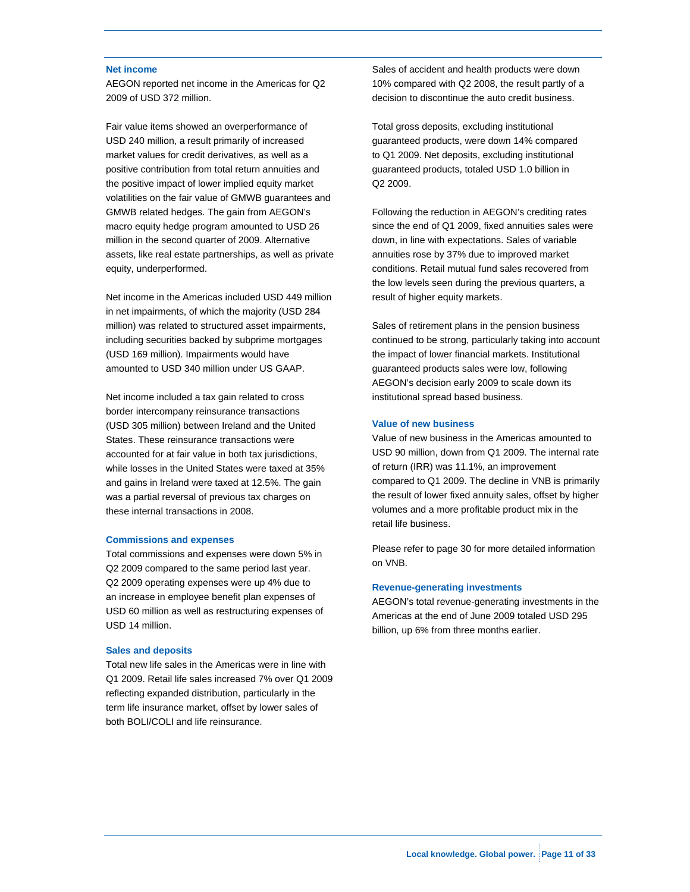#### **Net income**

AEGON reported net income in the Americas for Q2 2009 of USD 372 million.

Fair value items showed an overperformance of USD 240 million, a result primarily of increased market values for credit derivatives, as well as a positive contribution from total return annuities and the positive impact of lower implied equity market volatilities on the fair value of GMWB guarantees and GMWB related hedges. The gain from AEGON's macro equity hedge program amounted to USD 26 million in the second quarter of 2009. Alternative assets, like real estate partnerships, as well as private equity, underperformed.

Net income in the Americas included USD 449 million in net impairments, of which the majority (USD 284 million) was related to structured asset impairments, including securities backed by subprime mortgages (USD 169 million). Impairments would have amounted to USD 340 million under US GAAP.

Net income included a tax gain related to cross border intercompany reinsurance transactions (USD 305 million) between Ireland and the United States. These reinsurance transactions were accounted for at fair value in both tax jurisdictions, while losses in the United States were taxed at 35% and gains in Ireland were taxed at 12.5%. The gain was a partial reversal of previous tax charges on these internal transactions in 2008.

#### **Commissions and expenses**

Total commissions and expenses were down 5% in Q2 2009 compared to the same period last year. Q2 2009 operating expenses were up 4% due to an increase in employee benefit plan expenses of USD 60 million as well as restructuring expenses of USD 14 million.

#### **Sales and deposits**

Total new life sales in the Americas were in line with Q1 2009. Retail life sales increased 7% over Q1 2009 reflecting expanded distribution, particularly in the term life insurance market, offset by lower sales of both BOLI/COLI and life reinsurance.

Sales of accident and health products were down 10% compared with Q2 2008, the result partly of a decision to discontinue the auto credit business.

Total gross deposits, excluding institutional guaranteed products, were down 14% compared to Q1 2009. Net deposits, excluding institutional guaranteed products, totaled USD 1.0 billion in Q2 2009.

Following the reduction in AEGON's crediting rates since the end of Q1 2009, fixed annuities sales were down, in line with expectations. Sales of variable annuities rose by 37% due to improved market conditions. Retail mutual fund sales recovered from the low levels seen during the previous quarters, a result of higher equity markets.

Sales of retirement plans in the pension business continued to be strong, particularly taking into account the impact of lower financial markets. Institutional guaranteed products sales were low, following AEGON's decision early 2009 to scale down its institutional spread based business.

#### **Value of new business**

Value of new business in the Americas amounted to USD 90 million, down from Q1 2009. The internal rate of return (IRR) was 11.1%, an improvement compared to Q1 2009. The decline in VNB is primarily the result of lower fixed annuity sales, offset by higher volumes and a more profitable product mix in the retail life business.

Please refer to page 30 for more detailed information on VNB.

#### **Revenue-generating investments**

AEGON's total revenue-generating investments in the Americas at the end of June 2009 totaled USD 295 billion, up 6% from three months earlier.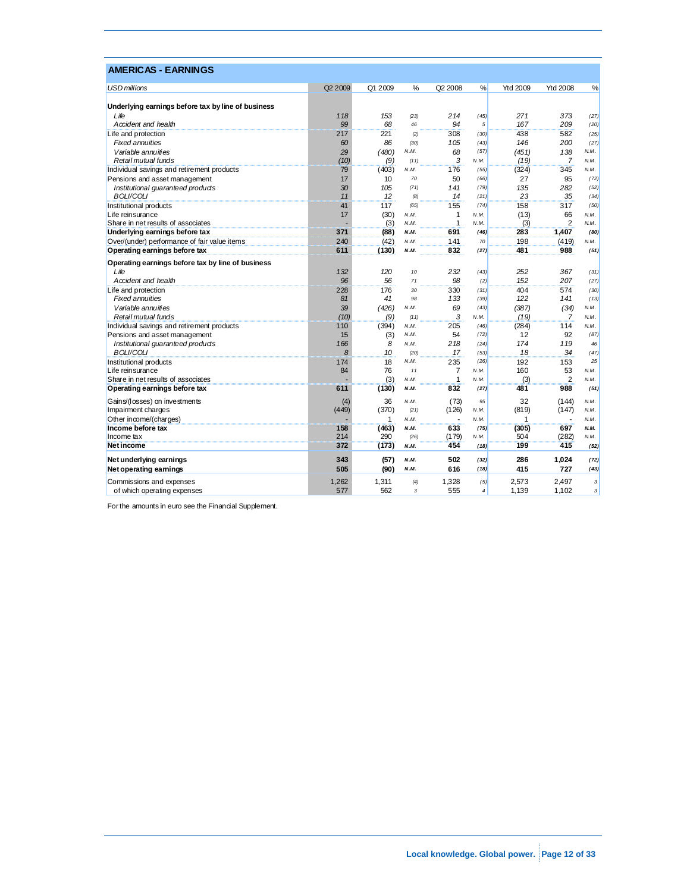| <b>USD millions</b><br>%<br><b>Ytd 2008</b><br>%<br>Q2 2009<br>Q1 2009<br>Q2 2008<br>%<br>Ytd 2009<br>Underlying earnings before tax by line of business<br>118<br>153<br>214<br>271<br>373<br>Life<br>(45)<br>(27)<br>(23)<br>99<br>68<br>94<br>167<br>209<br>Accident and health<br>5<br>(20)<br>46<br>217<br>221<br>308<br>438<br>582<br>Life and protection<br>(30)<br>(25)<br>(2)<br><b>Fixed annuities</b><br>60<br>86<br>146<br>200<br>(30)<br>105<br>(43)<br>(27)<br>Variable annuities<br>29<br>(480)<br>N.M.<br>(57)<br>(451)<br>138<br>N.M.<br>68<br>Retail mutual funds<br>(10)<br>(9)<br>3<br>(19)<br>7<br>N.M.<br>N.M.<br>(11)<br>176<br>345<br>Individual savings and retirement products<br>79<br>(403)<br>(324)<br>N.M.<br>(55)<br>N.M.<br>(66)<br>(72)<br>Pensions and asset management<br>17<br>10<br>70<br>50<br>27<br>95<br>Institutional quaranteed products<br>30<br>105<br>141<br>(79)<br>135<br>282<br>(52)<br>(71)<br><b>BOLI/COLI</b><br>11<br>12<br>14<br>23<br>35<br>(8)<br>(21)<br>(34)<br>Institutional products<br>117<br>(65)<br>(74)<br>158<br>317<br>(50)<br>41<br>155<br>Life reinsurance<br>17<br>(30)<br>1<br>(13)<br>66<br>N.M.<br>N.M.<br>N.M.<br>$\mathbf{1}$<br>(3)<br>$\overline{2}$<br>(3)<br>Share in net results of associates<br>N.M.<br>N.M.<br>N.M.<br>371<br>(88)<br>691<br>(46)<br>283<br>1.407<br>Underlying earnings before tax<br>N.M.<br>(80)<br>240<br>(42)<br>198<br>Over/(under) performance of fair value items<br>N.M.<br>141<br>70<br>(419)<br>N.M.<br>481<br>Operating earnings before tax<br>611<br>(130)<br>832<br>(27)<br>988<br>N.M.<br>(51)<br>Operating earnings before tax by line of business | <b>AMERICAS - EARNINGS</b> |
|---------------------------------------------------------------------------------------------------------------------------------------------------------------------------------------------------------------------------------------------------------------------------------------------------------------------------------------------------------------------------------------------------------------------------------------------------------------------------------------------------------------------------------------------------------------------------------------------------------------------------------------------------------------------------------------------------------------------------------------------------------------------------------------------------------------------------------------------------------------------------------------------------------------------------------------------------------------------------------------------------------------------------------------------------------------------------------------------------------------------------------------------------------------------------------------------------------------------------------------------------------------------------------------------------------------------------------------------------------------------------------------------------------------------------------------------------------------------------------------------------------------------------------------------------------------------------------------------------------------------------------------------------------------------|----------------------------|
|                                                                                                                                                                                                                                                                                                                                                                                                                                                                                                                                                                                                                                                                                                                                                                                                                                                                                                                                                                                                                                                                                                                                                                                                                                                                                                                                                                                                                                                                                                                                                                                                                                                                     |                            |
|                                                                                                                                                                                                                                                                                                                                                                                                                                                                                                                                                                                                                                                                                                                                                                                                                                                                                                                                                                                                                                                                                                                                                                                                                                                                                                                                                                                                                                                                                                                                                                                                                                                                     |                            |
|                                                                                                                                                                                                                                                                                                                                                                                                                                                                                                                                                                                                                                                                                                                                                                                                                                                                                                                                                                                                                                                                                                                                                                                                                                                                                                                                                                                                                                                                                                                                                                                                                                                                     |                            |
|                                                                                                                                                                                                                                                                                                                                                                                                                                                                                                                                                                                                                                                                                                                                                                                                                                                                                                                                                                                                                                                                                                                                                                                                                                                                                                                                                                                                                                                                                                                                                                                                                                                                     |                            |
|                                                                                                                                                                                                                                                                                                                                                                                                                                                                                                                                                                                                                                                                                                                                                                                                                                                                                                                                                                                                                                                                                                                                                                                                                                                                                                                                                                                                                                                                                                                                                                                                                                                                     |                            |
|                                                                                                                                                                                                                                                                                                                                                                                                                                                                                                                                                                                                                                                                                                                                                                                                                                                                                                                                                                                                                                                                                                                                                                                                                                                                                                                                                                                                                                                                                                                                                                                                                                                                     |                            |
|                                                                                                                                                                                                                                                                                                                                                                                                                                                                                                                                                                                                                                                                                                                                                                                                                                                                                                                                                                                                                                                                                                                                                                                                                                                                                                                                                                                                                                                                                                                                                                                                                                                                     |                            |
|                                                                                                                                                                                                                                                                                                                                                                                                                                                                                                                                                                                                                                                                                                                                                                                                                                                                                                                                                                                                                                                                                                                                                                                                                                                                                                                                                                                                                                                                                                                                                                                                                                                                     |                            |
|                                                                                                                                                                                                                                                                                                                                                                                                                                                                                                                                                                                                                                                                                                                                                                                                                                                                                                                                                                                                                                                                                                                                                                                                                                                                                                                                                                                                                                                                                                                                                                                                                                                                     |                            |
|                                                                                                                                                                                                                                                                                                                                                                                                                                                                                                                                                                                                                                                                                                                                                                                                                                                                                                                                                                                                                                                                                                                                                                                                                                                                                                                                                                                                                                                                                                                                                                                                                                                                     |                            |
|                                                                                                                                                                                                                                                                                                                                                                                                                                                                                                                                                                                                                                                                                                                                                                                                                                                                                                                                                                                                                                                                                                                                                                                                                                                                                                                                                                                                                                                                                                                                                                                                                                                                     |                            |
|                                                                                                                                                                                                                                                                                                                                                                                                                                                                                                                                                                                                                                                                                                                                                                                                                                                                                                                                                                                                                                                                                                                                                                                                                                                                                                                                                                                                                                                                                                                                                                                                                                                                     |                            |
|                                                                                                                                                                                                                                                                                                                                                                                                                                                                                                                                                                                                                                                                                                                                                                                                                                                                                                                                                                                                                                                                                                                                                                                                                                                                                                                                                                                                                                                                                                                                                                                                                                                                     |                            |
|                                                                                                                                                                                                                                                                                                                                                                                                                                                                                                                                                                                                                                                                                                                                                                                                                                                                                                                                                                                                                                                                                                                                                                                                                                                                                                                                                                                                                                                                                                                                                                                                                                                                     |                            |
|                                                                                                                                                                                                                                                                                                                                                                                                                                                                                                                                                                                                                                                                                                                                                                                                                                                                                                                                                                                                                                                                                                                                                                                                                                                                                                                                                                                                                                                                                                                                                                                                                                                                     |                            |
|                                                                                                                                                                                                                                                                                                                                                                                                                                                                                                                                                                                                                                                                                                                                                                                                                                                                                                                                                                                                                                                                                                                                                                                                                                                                                                                                                                                                                                                                                                                                                                                                                                                                     |                            |
|                                                                                                                                                                                                                                                                                                                                                                                                                                                                                                                                                                                                                                                                                                                                                                                                                                                                                                                                                                                                                                                                                                                                                                                                                                                                                                                                                                                                                                                                                                                                                                                                                                                                     |                            |
|                                                                                                                                                                                                                                                                                                                                                                                                                                                                                                                                                                                                                                                                                                                                                                                                                                                                                                                                                                                                                                                                                                                                                                                                                                                                                                                                                                                                                                                                                                                                                                                                                                                                     |                            |
|                                                                                                                                                                                                                                                                                                                                                                                                                                                                                                                                                                                                                                                                                                                                                                                                                                                                                                                                                                                                                                                                                                                                                                                                                                                                                                                                                                                                                                                                                                                                                                                                                                                                     |                            |
|                                                                                                                                                                                                                                                                                                                                                                                                                                                                                                                                                                                                                                                                                                                                                                                                                                                                                                                                                                                                                                                                                                                                                                                                                                                                                                                                                                                                                                                                                                                                                                                                                                                                     |                            |
| Life<br>132<br>120<br>232<br>252<br>367<br>10<br>(43)<br>(31)                                                                                                                                                                                                                                                                                                                                                                                                                                                                                                                                                                                                                                                                                                                                                                                                                                                                                                                                                                                                                                                                                                                                                                                                                                                                                                                                                                                                                                                                                                                                                                                                       |                            |
| 96<br>56<br>98<br>152<br>207<br>(27)<br>Accident and health<br>71<br>(2)                                                                                                                                                                                                                                                                                                                                                                                                                                                                                                                                                                                                                                                                                                                                                                                                                                                                                                                                                                                                                                                                                                                                                                                                                                                                                                                                                                                                                                                                                                                                                                                            |                            |
| 176<br>330<br>404<br>574<br>Life and protection<br>228<br>30<br>(31)<br>(30)                                                                                                                                                                                                                                                                                                                                                                                                                                                                                                                                                                                                                                                                                                                                                                                                                                                                                                                                                                                                                                                                                                                                                                                                                                                                                                                                                                                                                                                                                                                                                                                        |                            |
| <b>Fixed annuities</b><br>41<br>(39)<br>122<br>141<br>81<br>98<br>133<br>(13)                                                                                                                                                                                                                                                                                                                                                                                                                                                                                                                                                                                                                                                                                                                                                                                                                                                                                                                                                                                                                                                                                                                                                                                                                                                                                                                                                                                                                                                                                                                                                                                       |                            |
| 39<br>(426)<br>69<br>(43)<br>(387)<br>N.M.<br>Variable annuities<br>N.M.<br>(34)                                                                                                                                                                                                                                                                                                                                                                                                                                                                                                                                                                                                                                                                                                                                                                                                                                                                                                                                                                                                                                                                                                                                                                                                                                                                                                                                                                                                                                                                                                                                                                                    |                            |
| (10)<br>3<br>(19)<br>Retail mutual funds<br>(9)<br>N.M.<br>(11)<br>N.M.<br>7                                                                                                                                                                                                                                                                                                                                                                                                                                                                                                                                                                                                                                                                                                                                                                                                                                                                                                                                                                                                                                                                                                                                                                                                                                                                                                                                                                                                                                                                                                                                                                                        |                            |
| 205<br>114<br>Individual savings and retirement products<br>110<br>(394)<br>(284)<br>N.M.<br>(46)<br>N.M.                                                                                                                                                                                                                                                                                                                                                                                                                                                                                                                                                                                                                                                                                                                                                                                                                                                                                                                                                                                                                                                                                                                                                                                                                                                                                                                                                                                                                                                                                                                                                           |                            |
| N.M.<br>(72)<br>12<br>92<br>(87)<br>Pensions and asset management<br>15<br>(3)<br>54                                                                                                                                                                                                                                                                                                                                                                                                                                                                                                                                                                                                                                                                                                                                                                                                                                                                                                                                                                                                                                                                                                                                                                                                                                                                                                                                                                                                                                                                                                                                                                                |                            |
| 166<br>8<br>218<br>174<br>119<br>Institutional guaranteed products<br>(24)<br>N.M.<br>46                                                                                                                                                                                                                                                                                                                                                                                                                                                                                                                                                                                                                                                                                                                                                                                                                                                                                                                                                                                                                                                                                                                                                                                                                                                                                                                                                                                                                                                                                                                                                                            |                            |
| <b>BOLI/COLI</b><br>8<br>18<br>10<br>17<br>34<br>(53)<br>(47)<br>(20)                                                                                                                                                                                                                                                                                                                                                                                                                                                                                                                                                                                                                                                                                                                                                                                                                                                                                                                                                                                                                                                                                                                                                                                                                                                                                                                                                                                                                                                                                                                                                                                               |                            |
| 18<br>25<br>235<br>(26)<br>192<br>153<br>Institutional products<br>174<br>N.M.                                                                                                                                                                                                                                                                                                                                                                                                                                                                                                                                                                                                                                                                                                                                                                                                                                                                                                                                                                                                                                                                                                                                                                                                                                                                                                                                                                                                                                                                                                                                                                                      |                            |
| 53<br>Life reinsurance<br>84<br>76<br>160<br>7<br>11<br>N.M.<br>N.M.                                                                                                                                                                                                                                                                                                                                                                                                                                                                                                                                                                                                                                                                                                                                                                                                                                                                                                                                                                                                                                                                                                                                                                                                                                                                                                                                                                                                                                                                                                                                                                                                |                            |
| $\overline{2}$<br>(3)<br>$\mathbf{1}$<br>(3)<br>Share in net results of associates<br>N.M.<br>N.M.<br>N.M.                                                                                                                                                                                                                                                                                                                                                                                                                                                                                                                                                                                                                                                                                                                                                                                                                                                                                                                                                                                                                                                                                                                                                                                                                                                                                                                                                                                                                                                                                                                                                          |                            |
| 611<br>(130)<br>832<br>481<br>988<br>Operating earnings before tax<br>N.M.<br>(27)<br>(51)                                                                                                                                                                                                                                                                                                                                                                                                                                                                                                                                                                                                                                                                                                                                                                                                                                                                                                                                                                                                                                                                                                                                                                                                                                                                                                                                                                                                                                                                                                                                                                          |                            |
| Gains/(losses) on investments<br>(4)<br>36<br>32<br>(73)<br>(144)<br>N.M.<br>95<br>N.M.                                                                                                                                                                                                                                                                                                                                                                                                                                                                                                                                                                                                                                                                                                                                                                                                                                                                                                                                                                                                                                                                                                                                                                                                                                                                                                                                                                                                                                                                                                                                                                             |                            |
| Impairment charges<br>(449)<br>(370)<br>(819)<br>(126)<br>(147)<br>(21)<br>N.M.<br>N.M.                                                                                                                                                                                                                                                                                                                                                                                                                                                                                                                                                                                                                                                                                                                                                                                                                                                                                                                                                                                                                                                                                                                                                                                                                                                                                                                                                                                                                                                                                                                                                                             |                            |
| 1<br>Other income/(charges)<br>1<br>N.M.<br>N.M.<br>N.M.                                                                                                                                                                                                                                                                                                                                                                                                                                                                                                                                                                                                                                                                                                                                                                                                                                                                                                                                                                                                                                                                                                                                                                                                                                                                                                                                                                                                                                                                                                                                                                                                            |                            |
| Income before tax<br>(463)<br>697<br>158<br>633<br>(305)<br>N.M.<br>(75)<br>N.M.                                                                                                                                                                                                                                                                                                                                                                                                                                                                                                                                                                                                                                                                                                                                                                                                                                                                                                                                                                                                                                                                                                                                                                                                                                                                                                                                                                                                                                                                                                                                                                                    |                            |
| 214<br>290<br>(179)<br>504<br>(282)<br>Income tax<br>(26)<br>N.M.<br>N.M.                                                                                                                                                                                                                                                                                                                                                                                                                                                                                                                                                                                                                                                                                                                                                                                                                                                                                                                                                                                                                                                                                                                                                                                                                                                                                                                                                                                                                                                                                                                                                                                           |                            |
| 372<br>(173)<br>415<br>Net income<br>454<br>199<br>N.M.<br>(18)<br>(52)                                                                                                                                                                                                                                                                                                                                                                                                                                                                                                                                                                                                                                                                                                                                                                                                                                                                                                                                                                                                                                                                                                                                                                                                                                                                                                                                                                                                                                                                                                                                                                                             |                            |
| 343<br>286<br>Net underlying earnings<br>(57)<br>502<br>1.024<br>N.M.<br>(32)<br>(72)                                                                                                                                                                                                                                                                                                                                                                                                                                                                                                                                                                                                                                                                                                                                                                                                                                                                                                                                                                                                                                                                                                                                                                                                                                                                                                                                                                                                                                                                                                                                                                               |                            |
| 505<br>(90)<br>415<br>727<br>Net operating earnings<br>N.M.<br>616<br>(18)<br>(43)                                                                                                                                                                                                                                                                                                                                                                                                                                                                                                                                                                                                                                                                                                                                                                                                                                                                                                                                                                                                                                                                                                                                                                                                                                                                                                                                                                                                                                                                                                                                                                                  |                            |
| 1.311<br>1.328<br>Commissions and expenses<br>1.262<br>2.573<br>2.497<br>(4)<br>(5)                                                                                                                                                                                                                                                                                                                                                                                                                                                                                                                                                                                                                                                                                                                                                                                                                                                                                                                                                                                                                                                                                                                                                                                                                                                                                                                                                                                                                                                                                                                                                                                 |                            |
| 577<br>562<br>555<br>$\overline{4}$<br>1,139<br>1,102<br>of which operating expenses<br>3                                                                                                                                                                                                                                                                                                                                                                                                                                                                                                                                                                                                                                                                                                                                                                                                                                                                                                                                                                                                                                                                                                                                                                                                                                                                                                                                                                                                                                                                                                                                                                           |                            |

For the amounts in euro see the Financial Supplement.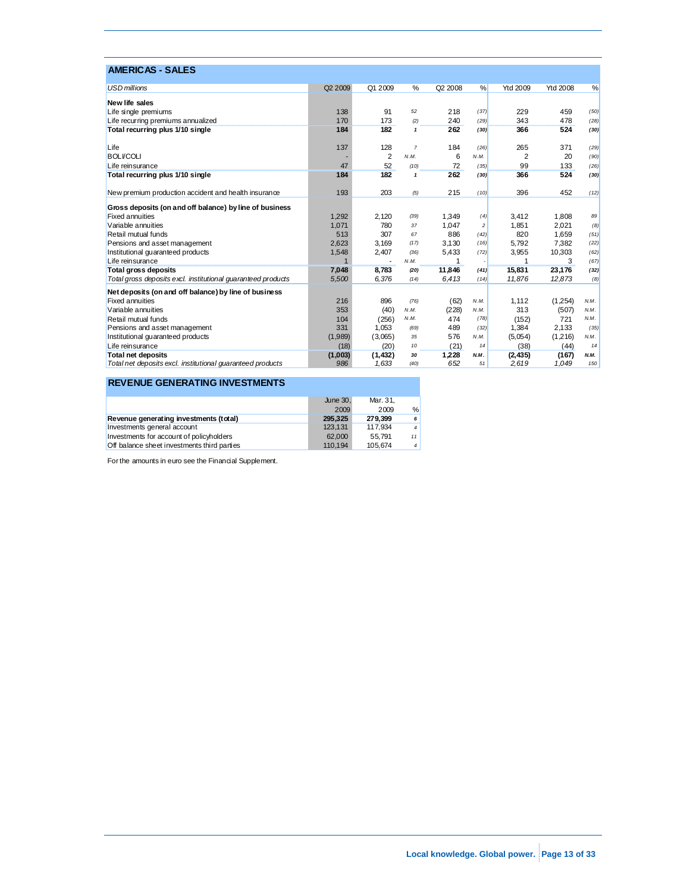| <b>AMERICAS - SALES</b>                                                           |         |         |                |         |                |          |                 |      |
|-----------------------------------------------------------------------------------|---------|---------|----------------|---------|----------------|----------|-----------------|------|
| <b>USD</b> millions                                                               | Q2 2009 | Q1 2009 | %              | Q2 2008 | %              | Ytd 2009 | <b>Ytd 2008</b> | %    |
| New life sales                                                                    |         |         |                |         |                |          |                 |      |
| Life single premiums                                                              | 138     | 91      | 52             | 218     | (37)           | 229      | 459             | (50) |
| Life recurring premiums annualized                                                | 170     | 173     | (2)            | 240     | (29)           | 343      | 478             | (28) |
| Total recurring plus 1/10 single                                                  | 184     | 182     | $\mathbf{1}$   | 262     | (30)           | 366      | 524             | (30) |
| Life                                                                              | 137     | 128     | $\overline{7}$ | 184     | (26)           | 265      | 371             | (29) |
| <b>BOLI/COLI</b>                                                                  |         | 2       | N.M.           | 6       | N.M.           | 2        | 20              | (90) |
| Life reinsurance                                                                  | 47      | 52      | (10)           | 72      | (35)           | 99       | 133             | (26) |
| Total recurring plus 1/10 single                                                  | 184     | 182     | $\mathbf{1}$   | 262     | (30)           | 366      | 524             | (30) |
| New premium production accident and health insurance                              | 193     | 203     | (5)            | 215     | (10)           | 396      | 452             | (12) |
|                                                                                   |         |         |                |         |                |          |                 |      |
| Gross deposits (on and off balance) by line of business<br><b>Fixed annuities</b> | 1.292   | 2.120   | (39)           | 1.349   | (4)            | 3,412    | 1.808           | 89   |
| Variable annuities                                                                | 1.071   | 780     | 37             | 1.047   | $\overline{c}$ | 1.851    | 2.021           | (8)  |
| Retail mutual funds                                                               | 513     | 307     | 67             | 886     | (42)           | 820      | 1.659           | (51) |
| Pensions and asset management                                                     | 2,623   | 3.169   | (17)           | 3.130   | (16)           | 5.792    | 7.382           | (22) |
| Institutional quaranteed products                                                 | 1,548   | 2,407   | (36)           | 5,433   | (72)           | 3,955    | 10,303          | (62) |
| Life reinsurance                                                                  |         |         | N.M.           | 1       |                | 1        | 3               | (67) |
| Total gross deposits                                                              | 7,048   | 8,783   | (20)           | 11,846  | (41)           | 15,831   | 23,176          | (32) |
| Total gross deposits excl. institutional quaranteed products                      | 5,500   | 6,376   | (14)           | 6,413   | (14)           | 11,876   | 12,873          | (8)  |
| Net deposits (on and off balance) by line of business                             |         |         |                |         |                |          |                 |      |
| <b>Fixed annuities</b>                                                            | 216     | 896     | (76)           | (62)    | N.M.           | 1,112    | (1,254)         | N.M. |
| Variable annuities                                                                | 353     | (40)    | N.M.           | (228)   | N.M.           | 313      | (507)           | N.M. |
| Retail mutual funds                                                               | 104     | (256)   | N.M.           | 474     | (78)           | (152)    | 721             | N.M. |
| Pensions and asset management                                                     | 331     | 1.053   | (69)           | 489     | (32)           | 1,384    | 2.133           | (35) |
| Institutional guaranteed products                                                 | (1,989) | (3,065) | 35             | 576     | N.M.           | (5,054)  | (1,216)         | N.M. |
| Life reinsurance                                                                  | (18)    | (20)    | 10             | (21)    | 14             | (38)     | (44)            | 14   |
| <b>Total net deposits</b>                                                         | (1,003) | (1,432) | 30             | 1,228   | N.M.           | (2, 435) | (167)           | N.M. |
| Total net deposits excl. institutional quaranteed products                        | 986     | 1.633   | (40)           | 652     | 51             | 2,619    | 1.049           | 150  |

### **REVENUE GENERATING INVESTMENTS**

|                                             | June 30. | Mar. 31. |                |
|---------------------------------------------|----------|----------|----------------|
|                                             | 2009     | 2009     | %              |
| Revenue generating investments (total)      | 295.325  | 279.399  | 6              |
| Investments general account                 | 123.131  | 117.934  | $\overline{4}$ |
| Investments for account of policyholders    | 62,000   | 55.791   | 11             |
| Off balance sheet investments third parties | 110.194  | 105.674  | $\vert$ 4      |

For the amounts in euro see the Financial Supplement.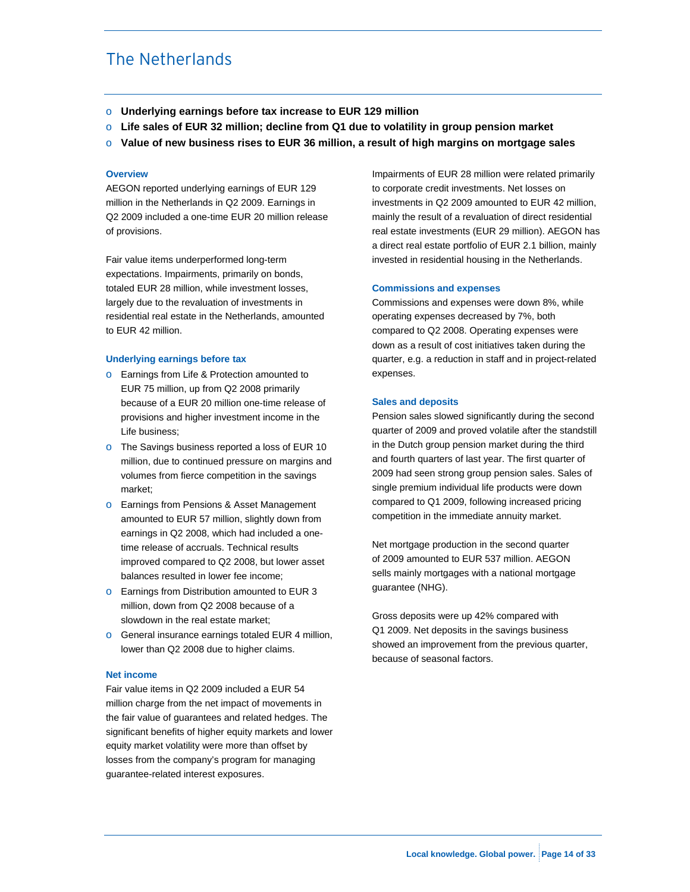# The Netherlands

- o **Underlying earnings before tax increase to EUR 129 million**
- o **Life sales of EUR 32 million; decline from Q1 due to volatility in group pension market**
- o **Value of new business rises to EUR 36 million, a result of high margins on mortgage sales**

#### **Overview**

AEGON reported underlying earnings of EUR 129 million in the Netherlands in Q2 2009. Earnings in Q2 2009 included a one-time EUR 20 million release of provisions.

Fair value items underperformed long-term expectations. Impairments, primarily on bonds, totaled EUR 28 million, while investment losses, largely due to the revaluation of investments in residential real estate in the Netherlands, amounted to EUR 42 million.

#### **Underlying earnings before tax**

- o Earnings from Life & Protection amounted to EUR 75 million, up from Q2 2008 primarily because of a EUR 20 million one-time release of provisions and higher investment income in the Life business;
- o The Savings business reported a loss of EUR 10 million, due to continued pressure on margins and volumes from fierce competition in the savings market;
- o Earnings from Pensions & Asset Management amounted to EUR 57 million, slightly down from earnings in Q2 2008, which had included a onetime release of accruals. Technical results improved compared to Q2 2008, but lower asset balances resulted in lower fee income;
- o Earnings from Distribution amounted to EUR 3 million, down from Q2 2008 because of a slowdown in the real estate market;
- o General insurance earnings totaled EUR 4 million, lower than Q2 2008 due to higher claims.

#### **Net income**

Fair value items in Q2 2009 included a EUR 54 million charge from the net impact of movements in the fair value of guarantees and related hedges. The significant benefits of higher equity markets and lower equity market volatility were more than offset by losses from the company's program for managing guarantee-related interest exposures.

Impairments of EUR 28 million were related primarily to corporate credit investments. Net losses on investments in Q2 2009 amounted to EUR 42 million, mainly the result of a revaluation of direct residential real estate investments (EUR 29 million). AEGON has a direct real estate portfolio of EUR 2.1 billion, mainly invested in residential housing in the Netherlands.

#### **Commissions and expenses**

Commissions and expenses were down 8%, while operating expenses decreased by 7%, both compared to Q2 2008. Operating expenses were down as a result of cost initiatives taken during the quarter, e.g. a reduction in staff and in project-related expenses.

#### **Sales and deposits**

Pension sales slowed significantly during the second quarter of 2009 and proved volatile after the standstill in the Dutch group pension market during the third and fourth quarters of last year. The first quarter of 2009 had seen strong group pension sales. Sales of single premium individual life products were down compared to Q1 2009, following increased pricing competition in the immediate annuity market.

Net mortgage production in the second quarter of 2009 amounted to EUR 537 million. AEGON sells mainly mortgages with a national mortgage guarantee (NHG).

Gross deposits were up 42% compared with Q1 2009. Net deposits in the savings business showed an improvement from the previous quarter, because of seasonal factors.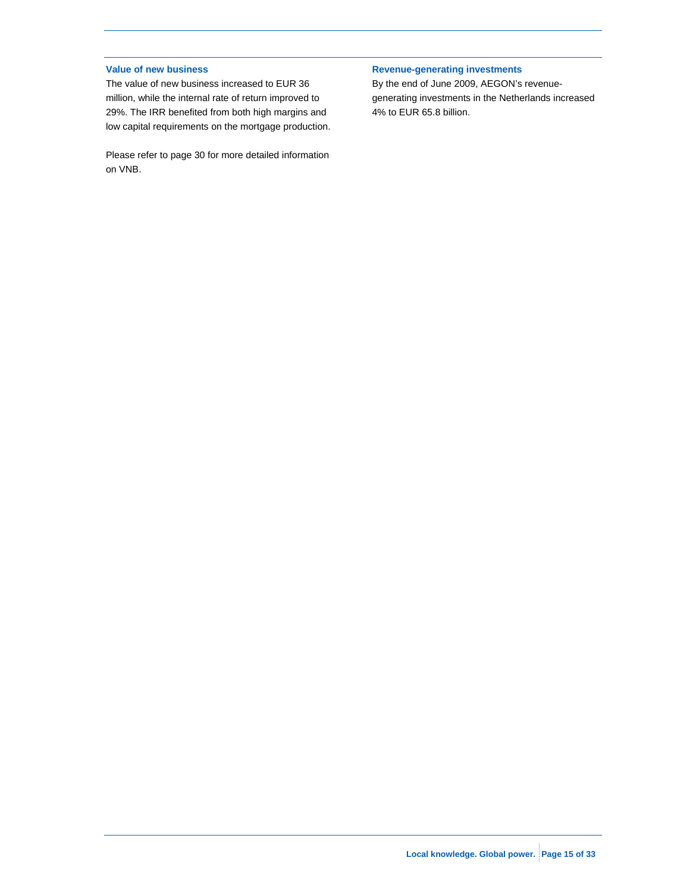#### **Value of new business**

The value of new business increased to EUR 36 million, while the internal rate of return improved to 29%. The IRR benefited from both high margins and low capital requirements on the mortgage production.

Please refer to page 30 for more detailed information on VNB.

### **Revenue-generating investments**

By the end of June 2009, AEGON's revenuegenerating investments in the Netherlands increased 4% to EUR 65.8 billion.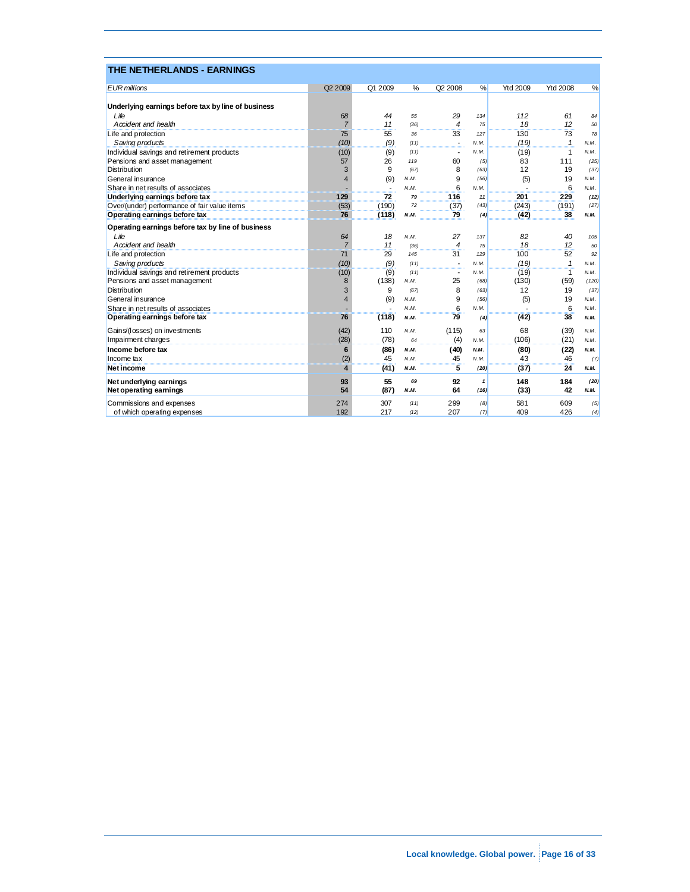| THE NETHERLANDS - EARNINGS                         |                     |                          |      |                |              |          |                 |       |
|----------------------------------------------------|---------------------|--------------------------|------|----------------|--------------|----------|-----------------|-------|
| <b>EUR</b> millions                                | Q <sub>2</sub> 2009 | Q1 2009                  | %    | Q2 2008        | %            | Ytd 2009 | <b>Ytd 2008</b> | %     |
| Underlying earnings before tax by line of business |                     |                          |      |                |              |          |                 |       |
| $L$ ife                                            | 68                  | 44                       | 55   | 29             | 134          | 112      | 61              | 84    |
| $Acident$ and health                               | $\overline{7}$      | 11                       | (36) | 4              | 75           | 18       | 12              | 50    |
| Life and protection                                | 75                  | 55                       | 36   | 33             | 127          | 130      | 73              | 78    |
| Saving products                                    | (10)                | (9)                      | (11) |                | N.M.         | (19)     | $\mathbf{1}$    | N.M.  |
| Individual savings and retirement products         | (10)                | (9)                      | (11) |                | N.M.         | (19)     | 1               | N.M.  |
| Pensions and asset management                      | 57                  | 26                       | 119  | 60             | (5)          | 83       | 111             | (25)  |
| <b>Distribution</b>                                | 3                   | 9                        | (67) | 8              | (63)         | 12       | 19              | (37)  |
| General insurance                                  | $\overline{4}$      | (9)                      | N.M. | 9              | (56)         | (5)      | 19              | N.M.  |
| Share in net results of associates                 |                     | $\overline{\phantom{a}}$ | N.M. | 6              | N.M.         |          | 6               | N.M.  |
| Underlying earnings before tax                     | 129                 | 72                       | 79   | 116            | 11           | 201      | 229             | (12)  |
| Over/(under) performance of fair value items       | (53)                | (190)                    | 72   | (37)           | (43)         | (243)    | (191)           | (27)  |
| Operating earnings before tax                      | 76                  | (118)                    | N.M. | 79             | (4)          | (42)     | 38              | N.M.  |
| Operating earnings before tax by line of business  |                     |                          |      |                |              |          |                 |       |
| Life                                               | 64                  | 18                       | N.M. | 27             | 137          | 82       | 40              | 105   |
| $Acident$ and health                               | $\overline{7}$      | 11                       | (36) | 4              | 75           | 18       | 12              | 50    |
| Life and protection                                | 71                  | 29                       | 145  | 31             | 129          | 100      | 52              | 92    |
| Saving products                                    | (10)                | (9)                      | (11) |                | N.M.         | (19)     | $\mathbf{1}$    | N.M.  |
| Individual savings and retirement products         | (10)                | (9)                      | (11) | $\overline{a}$ | N.M.         | (19)     | $\mathbf{1}$    | N.M.  |
| Pensions and asset management                      | 8                   | (138)                    | N.M. | 25             | (68)         | (130)    | (59)            | (120) |
| <b>Distribution</b>                                | 3                   | 9                        | (67) | 8              | (63)         | 12       | 19              | (37)  |
| General insurance                                  | $\overline{4}$      | (9)                      | N.M. | 9              | (56)         | (5)      | 19              | N.M.  |
| Share in net results of associates                 |                     |                          | N.M  | 6              | N.M.         |          | 6               | N.M.  |
| Operating earnings before tax                      | 76                  | (118)                    | N.M. | 79             | (4)          | (42)     | 38              | N.M.  |
| Gains/(losses) on investments                      | (42)                | 110                      | N.M. | (115)          | 63           | 68       | (39)            | N.M.  |
| Impairment charges                                 | (28)                | (78)                     | 64   | (4)            | N.M.         | (106)    | (21)            | N.M.  |
| Income before tax                                  | 6                   | (86)                     | N.M. | (40)           | N.M.         | (80)     | (22)            | N.M.  |
| Income tax                                         | (2)                 | 45                       | N.M  | 45             | N.M.         | 43       | 46              | (7)   |
| Net income                                         | 4                   | (41)                     | N.M. | 5              | (20)         | (37)     | 24              | N.M.  |
| Net underlying earnings                            | 93                  | 55                       | 69   | 92             | $\mathbf{1}$ | 148      | 184             | (20)  |
| Net operating earnings                             | 54                  | (87)                     | N.M. | 64             | (16)         | (33)     | 42              | N.M.  |
| Commissions and expenses                           | 274                 | 307                      | (11) | 299            | (8)          | 581      | 609             | (5)   |
| of which operating expenses                        | 192                 | 217                      | (12) | 207            | (7)          | 409      | 426             | (4)   |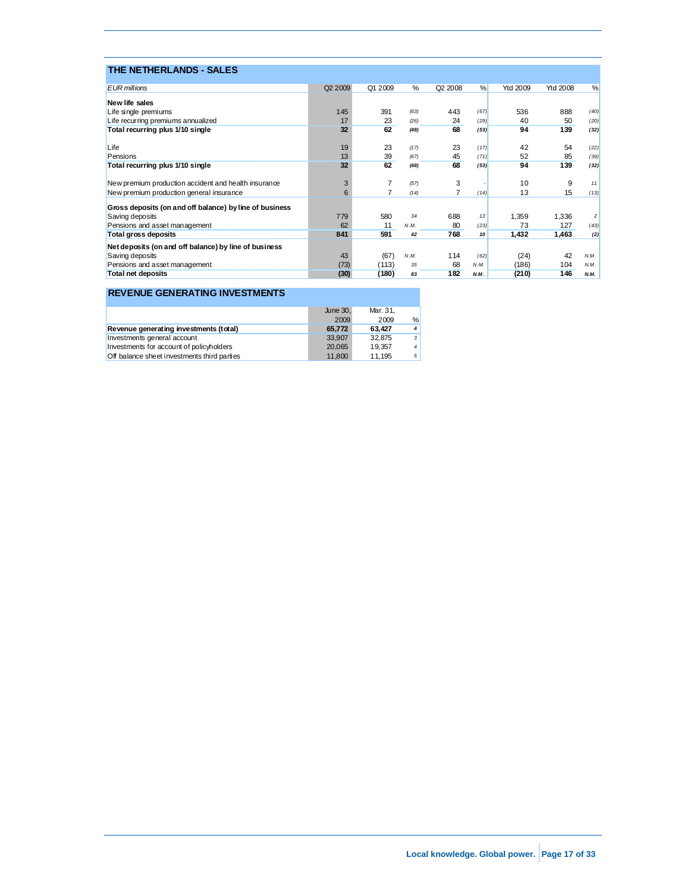| <b>THE NETHERLANDS - SALES</b>                          |                     |         |      |                                   |      |          |                 |                |
|---------------------------------------------------------|---------------------|---------|------|-----------------------------------|------|----------|-----------------|----------------|
| <b>EUR</b> millions                                     | Q <sub>2</sub> 2009 | Q1 2009 | %    | Q2 2008                           | %    | Ytd 2009 | <b>Ytd 2008</b> | %              |
| New life sales                                          |                     |         |      |                                   |      |          |                 |                |
| Life single premiums                                    | 145                 | 391     | (63) | 443                               | (67) | 536      | 888             | (40)           |
| Life recurring premiums annualized                      | 17                  | 23      | (26) | 24                                | (29) | 40       | 50<br>          | (20)           |
| Total recurring plus 1/10 single                        | 32                  | 62      | (48) | 68                                | (53) | 94       | 139             | (32)           |
| Life                                                    | 19                  | 23      | (17) | 23                                | (17) | 42       | 54              | (22)           |
| Pensions                                                | 13                  | 39      | (67) | 45                                | (71) | 52       | 85              | (39)           |
| Total recurring plus 1/10 single                        | 32                  | 62      | (48) | 68                                | (53) | 94       | 139             | (32)           |
| New premium production accident and health insurance    | 3                   |         | (57) | 3                                 |      | 10       | 9               | 11             |
| New premium production general insurance                | 6                   |         | (14) |                                   | (14) | 13       | 15              | (13)           |
| Gross deposits (on and off balance) by line of business |                     |         |      |                                   |      |          |                 |                |
| Saving deposits                                         | 779                 | 580     | 34   | 688                               | 13   | 1,359    | 1,336           | $\overline{c}$ |
| Pensions and asset management                           | 62                  | 11      | N.M. | 80                                | (23) | 73       | 127             | (43)           |
| Total gross deposits                                    | 841                 | 591     | 42   | 768                               | 10   | 1,432    | 1,463           | (2)            |
| Net deposits (on and off balance) by line of business   |                     |         |      |                                   |      |          |                 |                |
| Saving deposits                                         | 43                  | (67)    | N.M. | 114                               | (62) | (24)     | 42              | N.M.           |
| Pensions and asset management                           | (73)                | (113)   | 35   | 68                                | N.M. | (186)    | 104             | N.M.           |
| <b>Total net deposits</b>                               | (30)                | (180    | 83   | ,,,,,,,,,,,,,,,,,,,,,,,,,,<br>182 | N.M. | (210)    | 146             | N.M.           |

### **REVENUE GENERATING INVESTMENTS**

|                                             | June 30. | Mar. 31. |                |
|---------------------------------------------|----------|----------|----------------|
|                                             | 2009     | 2009     | %              |
| Revenue generating investments (total)      | 65.772   | 63.427   | $\overline{4}$ |
| Investments general account                 | 33.907   | 32.875   | 3 <sup>1</sup> |
| Investments for account of policyholders    | 20.065   | 19.357   | $\overline{4}$ |
| Off balance sheet investments third parties | 11.800   | 11.195   | 5              |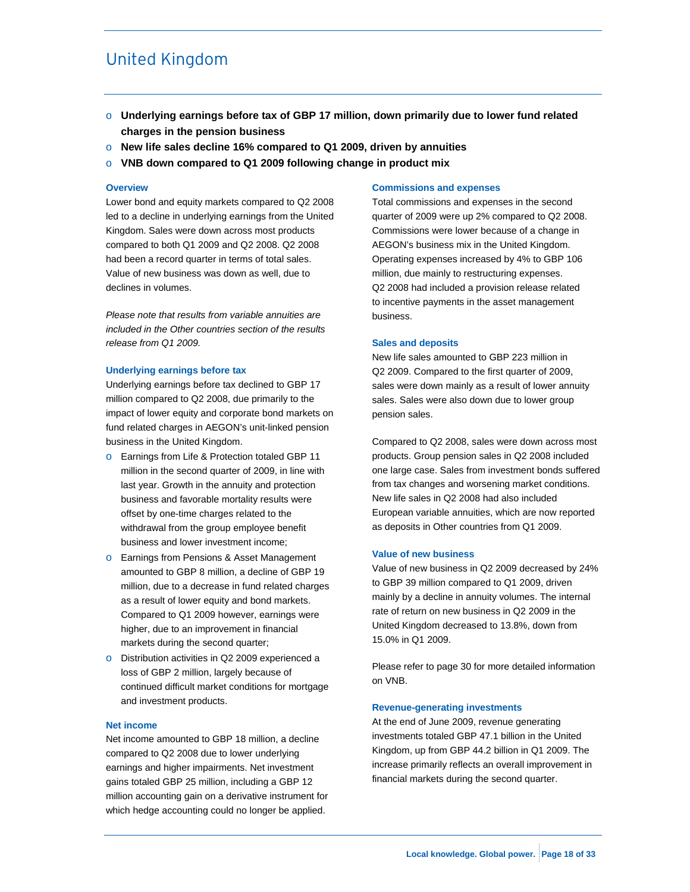# United Kingdom

- o **Underlying earnings before tax of GBP 17 million, down primarily due to lower fund related charges in the pension business**
- o **New life sales decline 16% compared to Q1 2009, driven by annuities**
- o **VNB down compared to Q1 2009 following change in product mix**

#### **Overview**

Lower bond and equity markets compared to Q2 2008 led to a decline in underlying earnings from the United Kingdom. Sales were down across most products compared to both Q1 2009 and Q2 2008. Q2 2008 had been a record quarter in terms of total sales. Value of new business was down as well, due to declines in volumes.

*Please note that results from variable annuities are included in the Other countries section of the results release from Q1 2009.* 

#### **Underlying earnings before tax**

Underlying earnings before tax declined to GBP 17 million compared to Q2 2008, due primarily to the impact of lower equity and corporate bond markets on fund related charges in AEGON's unit-linked pension business in the United Kingdom.

- o Earnings from Life & Protection totaled GBP 11 million in the second quarter of 2009, in line with last year. Growth in the annuity and protection business and favorable mortality results were offset by one-time charges related to the withdrawal from the group employee benefit business and lower investment income;
- o Earnings from Pensions & Asset Management amounted to GBP 8 million, a decline of GBP 19 million, due to a decrease in fund related charges as a result of lower equity and bond markets. Compared to Q1 2009 however, earnings were higher, due to an improvement in financial markets during the second quarter;
- o Distribution activities in Q2 2009 experienced a loss of GBP 2 million, largely because of continued difficult market conditions for mortgage and investment products.

#### **Net income**

Net income amounted to GBP 18 million, a decline compared to Q2 2008 due to lower underlying earnings and higher impairments. Net investment gains totaled GBP 25 million, including a GBP 12 million accounting gain on a derivative instrument for which hedge accounting could no longer be applied.

#### **Commissions and expenses**

Total commissions and expenses in the second quarter of 2009 were up 2% compared to Q2 2008. Commissions were lower because of a change in AEGON's business mix in the United Kingdom. Operating expenses increased by 4% to GBP 106 million, due mainly to restructuring expenses. Q2 2008 had included a provision release related to incentive payments in the asset management business.

#### **Sales and deposits**

New life sales amounted to GBP 223 million in Q2 2009. Compared to the first quarter of 2009, sales were down mainly as a result of lower annuity sales. Sales were also down due to lower group pension sales.

Compared to Q2 2008, sales were down across most products. Group pension sales in Q2 2008 included one large case. Sales from investment bonds suffered from tax changes and worsening market conditions. New life sales in Q2 2008 had also included European variable annuities, which are now reported as deposits in Other countries from Q1 2009.

#### **Value of new business**

Value of new business in Q2 2009 decreased by 24% to GBP 39 million compared to Q1 2009, driven mainly by a decline in annuity volumes. The internal rate of return on new business in Q2 2009 in the United Kingdom decreased to 13.8%, down from 15.0% in Q1 2009.

Please refer to page 30 for more detailed information on VNB.

#### **Revenue-generating investments**

At the end of June 2009, revenue generating investments totaled GBP 47.1 billion in the United Kingdom, up from GBP 44.2 billion in Q1 2009. The increase primarily reflects an overall improvement in financial markets during the second quarter.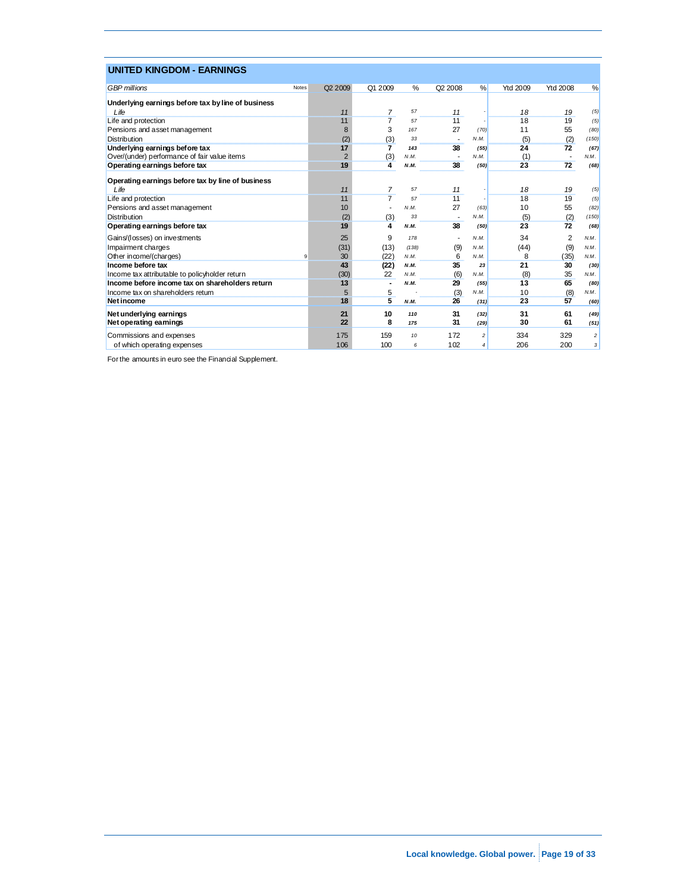| <b>UNITED KINGDOM - EARNINGS</b>                   |              |                     |         |       |                     |                          |                 |                 |                         |
|----------------------------------------------------|--------------|---------------------|---------|-------|---------------------|--------------------------|-----------------|-----------------|-------------------------|
| <b>GBP</b> millions                                | <b>Notes</b> | Q <sub>2</sub> 2009 | Q1 2009 | %     | Q <sub>2</sub> 2008 | %                        | <b>Ytd 2009</b> | <b>Ytd 2008</b> | %                       |
| Underlying earnings before tax by line of business |              |                     |         |       |                     |                          |                 |                 |                         |
| $L$ ife                                            |              | 11                  | 7       | 57    | 11                  |                          | 18              | 19              | (5)                     |
| Life and protection                                |              | 11                  |         | 57    | <br>11              |                          | <br>18          | 19              | (5)                     |
| Pensions and asset management                      |              | 8                   | 3       | 167   | 27                  | (70)                     | 11              | 55              | (80)                    |
| <b>Distribution</b>                                |              | (2)                 | (3)     | 33    |                     | N.M.                     | (5)             | (2)             | (150)                   |
| Underlying earnings before tax                     |              | 17                  | 7       | 143   | 38                  | (55)                     | 24              | 72              | (67)                    |
| Over/(under) performance of fair value items       |              | $\overline{2}$      | (3)     | N.M.  |                     | N.M.                     | (1)             |                 | N.M.                    |
| Operating earnings before tax                      |              | 19                  | 4       | N.M.  | 38                  | (50)                     | 23              | 72              | (68)                    |
| Operating earnings before tax by line of business  |              |                     |         |       |                     |                          |                 |                 |                         |
| Life                                               |              | 11                  |         | 57    | 11                  |                          | 18              | 19              | (5)                     |
| Life and protection                                |              | 11                  |         | 57    | 11                  |                          | 18              | 19              | (5)                     |
| Pensions and asset management                      |              | 10                  |         | N.M.  | 27                  | (63)                     | 10              | 55              | (82)                    |
| <b>Distribution</b>                                |              | (2)                 | (3)     | 33    |                     | N.M.                     | (5)             | (2)             | (150)                   |
| Operating earnings before tax                      |              | 19                  | 4       | N.M.  | 38                  | (50)                     | 23              | 72              | (68)                    |
| Gains/(losses) on investments                      |              | 25                  | 9       | 178   |                     | N.M.                     | 34              | 2               | N.M.                    |
| Impairment charges                                 |              | (31)                | (13)    | (138) | (9)                 | N.M.                     | (44)            | (9)             | N.M.                    |
| Other income/(charges)                             | 9            | 30                  | (22)    | N.M.  | 6                   | N.M.                     | 8               | (35)            | N.M.                    |
| Income before tax                                  |              | 43                  | (22)    | N.M.  | 35                  | 23                       | 21              | 30              | (30)                    |
| Income tax attributable to policyholder return     |              | (30)                | 22      | N.M.  | (6)                 | N.M.                     | (8)             | 35              | N.M.                    |
| Income before income tax on shareholders return    |              | 13                  | ٠       | N.M.  | 29                  | (55)                     | 13              | 65              | (80)                    |
| Income tax on shareholders return                  |              | 5                   | 5       |       | (3)                 | N.M.                     | 10              | (8)             | N.M.                    |
| <b>Net income</b>                                  |              | 18                  | 5       | N.M.  | 26                  | (31)                     | 23              | 57              | (60)                    |
| Net underlying earnings                            |              | 21                  | 10      | 110   | 31                  | (32)                     | 31              | 61              | (49)                    |
| Net operating earnings                             |              | 22                  | 8       | 175   | 31                  | (29)                     | 30              | 61              | (51)                    |
| Commissions and expenses                           |              | 175                 | 159     | 10    | 172                 | $\mathfrak{p}$           | 334             | 329             | $\overline{\mathbf{c}}$ |
| of which operating expenses                        |              | 106                 | 100     | 6     | 102                 | $\overline{\mathcal{A}}$ | 206             | 200             | 3                       |

For the amounts in euro see the Financial Supplement.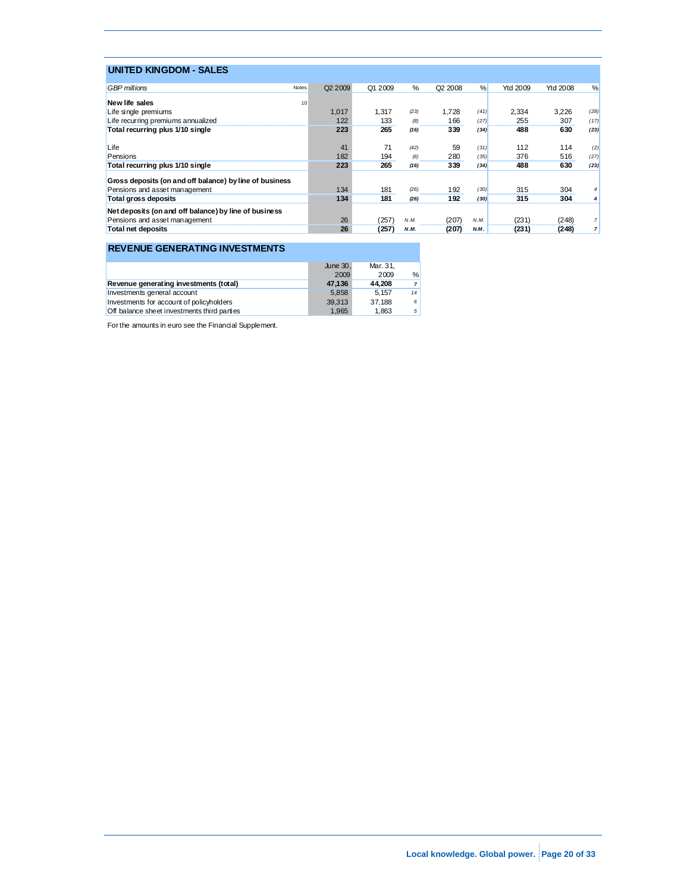| <b>UNITED KINGDOM - SALES</b>                           |                     |         |      |                     |      |          |          |      |
|---------------------------------------------------------|---------------------|---------|------|---------------------|------|----------|----------|------|
| <b>GBP</b> millions<br>Notes                            | Q <sub>2</sub> 2009 | Q1 2009 | $\%$ | Q <sub>2</sub> 2008 | $\%$ | Ytd 2009 | Ytd 2008 | %    |
| New life sales<br>10                                    |                     |         |      |                     |      |          |          |      |
| Life single premiums                                    | 1.017               | 1.317   | (23) | 1.728               | (41) | 2.334    | 3.226    | (28) |
| Life recurring premiums annualized                      | 122                 | 133     | (8)  | 166                 | (27) | 255      | 307<br>  | (17) |
| Total recurring plus 1/10 single                        | 223                 | 265     | (16) | <br>339             | (34) | 488      | 630      | (23) |
| Life                                                    | 41                  | 71      | (42) | 59                  | (31) | 112      | 114      | (2)  |
| Pensions                                                | 182                 | 194     | (6)  | 280                 | (35) | 376      | 516      | (27) |
| Total recurring plus 1/10 single                        | 223                 | 265     | (16) | 339                 | (34) | 488      | 630      | (23) |
| Gross deposits (on and off balance) by line of business |                     |         |      |                     |      |          |          |      |
| Pensions and asset management                           | 134                 | 181     | (26) | 192                 | (30) | 315      | 304      |      |
| Total gross deposits                                    | 134                 | 181     | (26) | 192                 | (30) | 315      | 304      |      |
| Net deposits (on and off balance) by line of business   |                     |         |      |                     |      |          |          |      |
| Pensions and asset management                           | 26                  | (257)   | N.M. | (207)               | N.M. | (231)    | (248)    |      |
| <b>Total net deposits</b>                               | 26                  | (257)   | N.M. | (207                | N.M. | (231)    | (248)    |      |

### **REVENUE GENERATING INVESTMENTS**

|                                                    | June 30.<br>2009 | Mar. 31.<br>2009 | %  |
|----------------------------------------------------|------------------|------------------|----|
| Revenue generating investments (total)             | 47.136           | 44.208           |    |
| Investments general account                        | 5.858            | 5.157            | 14 |
| Investments for account of policyholders           | 39.313           | 37.188           | 6  |
| <b>Off</b> balance sheet investments third parties | 1.965            | 1.863            | 5  |

For the amounts in euro see the Financial Supplement.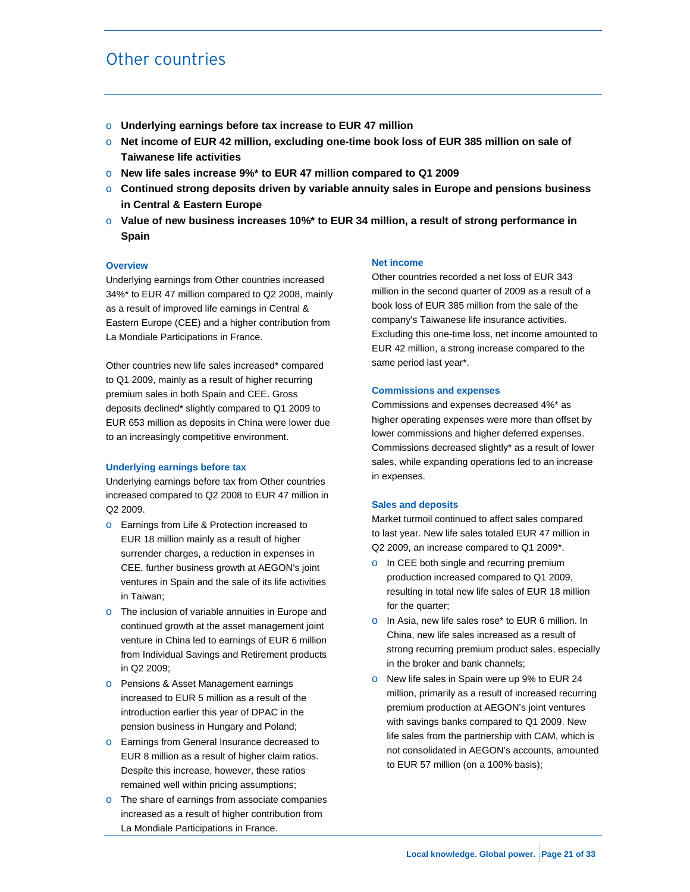# Other countries

- o **Underlying earnings before tax increase to EUR 47 million**
- o **Net income of EUR 42 million, excluding one-time book loss of EUR 385 million on sale of Taiwanese life activities**
- o **New life sales increase 9%\* to EUR 47 million compared to Q1 2009**
- o **Continued strong deposits driven by variable annuity sales in Europe and pensions business in Central & Eastern Europe**
- o **Value of new business increases 10%\* to EUR 34 million, a result of strong performance in Spain**

#### **Overview**

Underlying earnings from Other countries increased 34%\* to EUR 47 million compared to Q2 2008, mainly as a result of improved life earnings in Central & Eastern Europe (CEE) and a higher contribution from La Mondiale Participations in France.

Other countries new life sales increased\* compared to Q1 2009, mainly as a result of higher recurring premium sales in both Spain and CEE. Gross deposits declined\* slightly compared to Q1 2009 to EUR 653 million as deposits in China were lower due to an increasingly competitive environment.

#### **Underlying earnings before tax**

Underlying earnings before tax from Other countries increased compared to Q2 2008 to EUR 47 million in Q2 2009.

- o Earnings from Life & Protection increased to EUR 18 million mainly as a result of higher surrender charges, a reduction in expenses in CEE, further business growth at AEGON's joint ventures in Spain and the sale of its life activities in Taiwan;
- o The inclusion of variable annuities in Europe and continued growth at the asset management joint venture in China led to earnings of EUR 6 million from Individual Savings and Retirement products in Q2 2009;
- o Pensions & Asset Management earnings increased to EUR 5 million as a result of the introduction earlier this year of DPAC in the pension business in Hungary and Poland;
- o Earnings from General Insurance decreased to EUR 8 million as a result of higher claim ratios. Despite this increase, however, these ratios remained well within pricing assumptions;
- o The share of earnings from associate companies increased as a result of higher contribution from La Mondiale Participations in France.

#### **Net income**

Other countries recorded a net loss of EUR 343 million in the second quarter of 2009 as a result of a book loss of EUR 385 million from the sale of the company's Taiwanese life insurance activities. Excluding this one-time loss, net income amounted to EUR 42 million, a strong increase compared to the same period last year\*.

#### **Commissions and expenses**

Commissions and expenses decreased 4%\* as higher operating expenses were more than offset by lower commissions and higher deferred expenses. Commissions decreased slightly\* as a result of lower sales, while expanding operations led to an increase in expenses.

#### **Sales and deposits**

Market turmoil continued to affect sales compared to last year. New life sales totaled EUR 47 million in Q2 2009, an increase compared to Q1 2009\*.

- o In CEE both single and recurring premium production increased compared to Q1 2009, resulting in total new life sales of EUR 18 million for the quarter;
- o In Asia, new life sales rose\* to EUR 6 million. In China, new life sales increased as a result of strong recurring premium product sales, especially in the broker and bank channels;
- o New life sales in Spain were up 9% to EUR 24 million, primarily as a result of increased recurring premium production at AEGON's joint ventures with savings banks compared to Q1 2009. New life sales from the partnership with CAM, which is not consolidated in AEGON's accounts, amounted to EUR 57 million (on a 100% basis);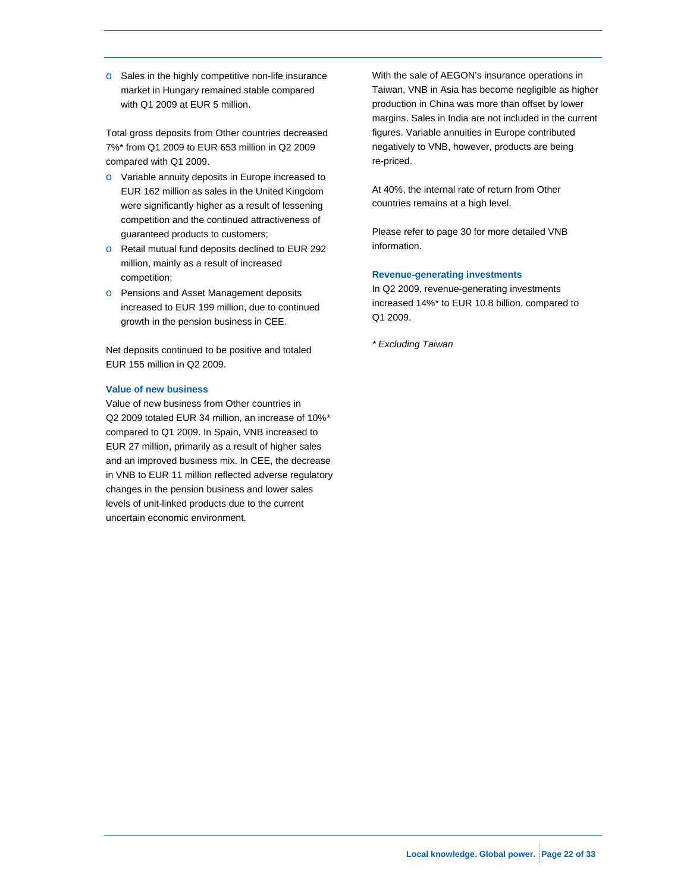o Sales in the highly competitive non-life insurance market in Hungary remained stable compared with Q1 2009 at EUR 5 million.

Total gross deposits from Other countries decreased 7%\* from Q1 2009 to EUR 653 million in Q2 2009 compared with Q1 2009.

- o Variable annuity deposits in Europe increased to EUR 162 million as sales in the United Kingdom were significantly higher as a result of lessening competition and the continued attractiveness of guaranteed products to customers;
- o Retail mutual fund deposits declined to EUR 292 million, mainly as a result of increased competition;
- o Pensions and Asset Management deposits increased to EUR 199 million, due to continued growth in the pension business in CEE.

Net deposits continued to be positive and totaled EUR 155 million in Q2 2009.

#### **Value of new business**

Value of new business from Other countries in Q2 2009 totaled EUR 34 million, an increase of 10%*\**  compared to Q1 2009. In Spain, VNB increased to EUR 27 million, primarily as a result of higher sales and an improved business mix. In CEE, the decrease in VNB to EUR 11 million reflected adverse regulatory changes in the pension business and lower sales levels of unit-linked products due to the current uncertain economic environment.

With the sale of AEGON's insurance operations in Taiwan, VNB in Asia has become negligible as higher production in China was more than offset by lower margins. Sales in India are not included in the current figures. Variable annuities in Europe contributed negatively to VNB, however, products are being re-priced.

At 40%, the internal rate of return from Other countries remains at a high level.

Please refer to page 30 for more detailed VNB information.

#### **Revenue-generating investments**

In Q2 2009, revenue-generating investments increased 14%\* to EUR 10.8 billion, compared to Q1 2009.

*\* Excluding Taiwan*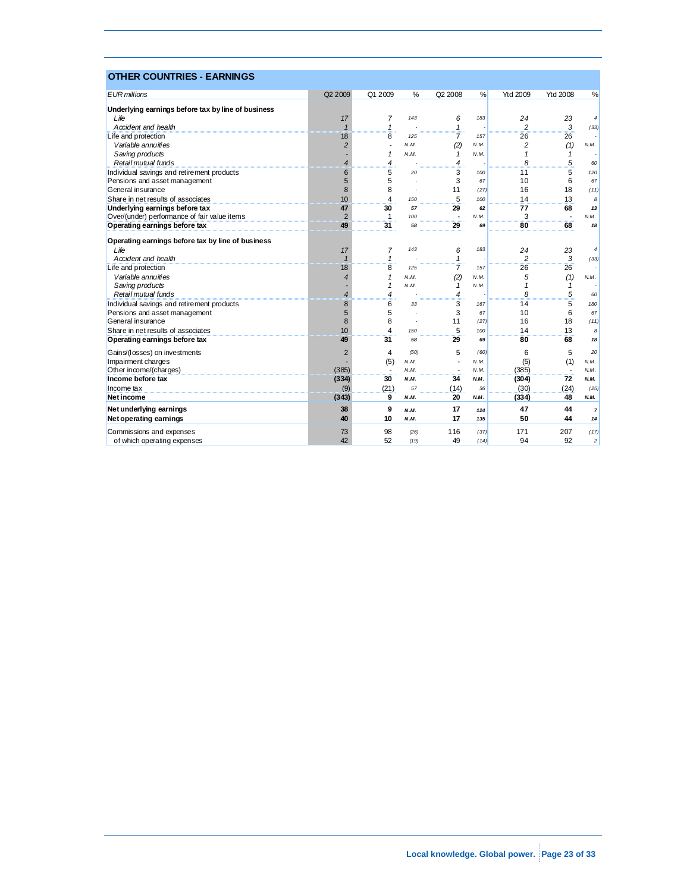| <b>OTHER COUNTRIES - EARNINGS</b>                  |                |                |      |                          |      |                 |                          |                |
|----------------------------------------------------|----------------|----------------|------|--------------------------|------|-----------------|--------------------------|----------------|
| <b>EUR</b> millions                                | Q2 2009        | Q1 2009        | %    | Q2 2008                  | %    | <b>Ytd 2009</b> | <b>Ytd 2008</b>          | %              |
| Underlying earnings before tax by line of business |                |                |      |                          |      |                 |                          |                |
| Life                                               | 17             | $\overline{7}$ | 143  | 6                        | 183  | 24              | 23                       | $\overline{4}$ |
| Accident and health                                |                | $\mathbf{1}$   |      | 1                        |      | $\overline{2}$  | 3                        | (33)           |
| Life and protection                                | 18             | 8              | 125  | 7                        | 157  | 26              | 26                       |                |
| Variable annuities                                 | $\overline{2}$ |                | N.M. | (2)                      | N.M. | 2               | (1)                      | N.M.           |
| Saving products                                    |                | $\mathbf{1}$   | N.M. | 1                        | N.M. | $\mathbf{1}$    | $\mathbf{1}$             |                |
| Retail mutual funds                                | $\overline{4}$ | 4              |      | 4                        |      | 8               | 5                        | 60             |
| Individual savings and retirement products         | 6              | 5              | 20   | 3                        | 100  | 11              | 5                        | 120            |
| Pensions and asset management                      | 5              | 5              |      | 3                        | 67   | 10              | 6                        | 67             |
| General insurance                                  | 8              | 8              |      | 11                       | (27) | 16              | 18                       | (11)           |
| Share in net results of associates                 | 10             | 4              | 150  | 5                        | 100  | 14              | 13                       | 8              |
| Underlying earnings before tax                     | 47             | 30             | 57   | 29                       | 62   | 77              | 68                       | 13             |
| Over/(under) performance of fair value items       | $\overline{2}$ | 1              | 100  | $\overline{\phantom{a}}$ | N.M. | 3               | $\overline{\phantom{a}}$ | N.M.           |
| Operating earnings before tax                      | 49             | 31             | 58   | 29                       | 69   | 80              | 68                       | 18             |
| Operating earnings before tax by line of business  |                |                |      |                          |      |                 |                          |                |
| Life                                               | 17             | 7              | 143  | 6                        | 183  | 24              | 23                       | $\sqrt{4}$     |
| Accident and health                                | $\mathbf{1}$   | $\mathbf{1}$   |      | $\mathbf{1}$             |      | $\overline{c}$  | 3                        | (33)           |
| Life and protection                                | 18             | 8              | 125  | $\overline{7}$           | 157  | 26              | 26                       |                |
| Variable annuities                                 | $\overline{4}$ | 1              | N.M. | (2)                      | N.M. | 5               | (1)                      | N.M.           |
| Saving products                                    |                | $\mathbf{1}$   | N.M. | 1                        | N.M. | $\mathbf{1}$    | $\mathbf{1}$             |                |
| Retail mutual funds                                | $\overline{4}$ | 4              |      | 4                        |      | 8               | 5                        | 60             |
| Individual savings and retirement products         | 8              | 6              | 33   | 3                        | 167  | 14              | 5                        | 180            |
| Pensions and asset management                      | 5              | 5              |      | 3                        | 67   | 10              | 6                        | 67             |
| General insurance                                  | 8              | 8              |      | 11                       | (27) | 16              | 18                       | (11)           |
| Share in net results of associates                 | 10             | $\overline{4}$ | 150  | 5                        | 100  | 14              | 13                       | 8              |
| Operating earnings before tax                      | 49             | 31             | 58   | 29                       | 69   | 80              | 68                       | 18             |
| Gains/(losses) on investments                      | $\overline{2}$ | 4              | (50) | 5                        | (60) | 6               | 5                        | 20             |
| Impairment charges                                 |                | (5)            | N.M. | $\overline{a}$           | N.M. | (5)             | (1)                      | N.M.           |
| Other in come/(charges)                            | (385)          | $\overline{a}$ | N.M  |                          | N.M. | (385)           | $\overline{\phantom{a}}$ | N.M.           |
| Income before tax                                  | (334)          | 30             | N.M. | 34                       | N.M. | (304)           | 72                       | N.M.           |
| Income tax                                         | (9)            | (21)           | 57   | (14)                     | 36   | (30)            | (24)                     | (25)           |
| <b>Net income</b>                                  | (343)          | 9              | N.M. | 20                       | N.M. | (334)           | 48                       | N.M.           |
| Net underlying earnings                            | 38             | 9              | N.M. | 17                       | 124  | 47              | 44                       | $\overline{7}$ |
| Net operating earnings                             | 40             | 10             | N.M. | 17                       | 135  | 50              | 44                       | 14             |
| Commissions and expenses                           | 73             | 98             | (26) | 116                      | (37) | 171             | 207                      | (17)           |
| of which operating expenses                        | 42             | 52             | (19) | 49                       | (14) | 94              | 92                       | $\overline{c}$ |

### Local knowledge. Global power. Page 23 of 33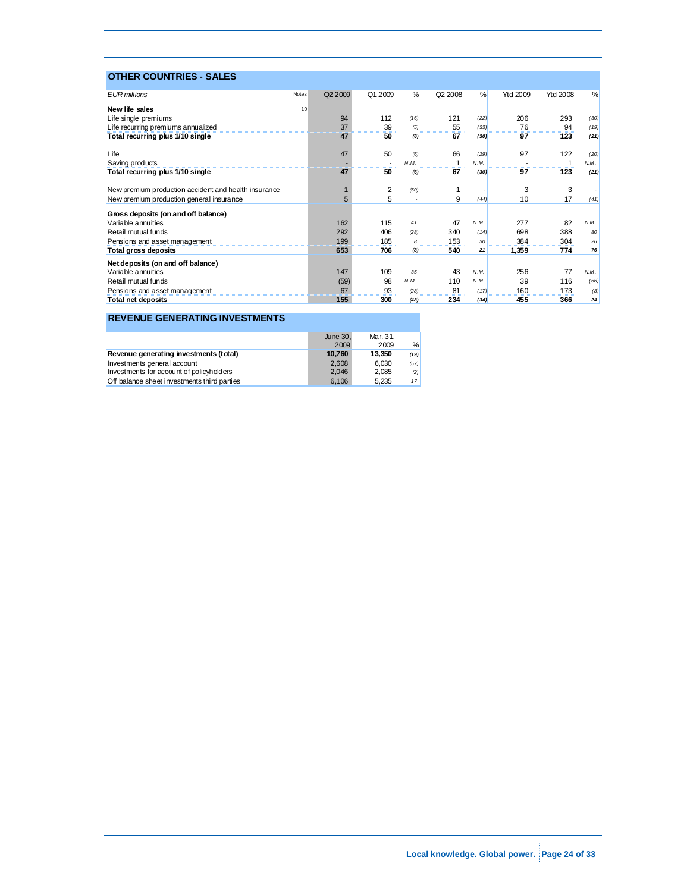| <b>OTHER COUNTRIES - SALES</b>                       |                  |                          |      |                     |      |          |                 |      |
|------------------------------------------------------|------------------|--------------------------|------|---------------------|------|----------|-----------------|------|
| <b>EUR</b> millions                                  | Q2 2009<br>Notes | Q1 2009                  | $\%$ | Q <sub>2</sub> 2008 | %    | Ytd 2009 | <b>Ytd 2008</b> | %    |
| New life sales                                       | 10               |                          |      |                     |      |          |                 |      |
|                                                      |                  | 112                      | (16) | 121                 | (22) | 206      |                 | (30) |
| Life single premiums                                 | 94<br>37         | 39                       |      |                     | (33) | 76       | 293             |      |
| Life recurring premiums annualized                   |                  |                          | (5)  | 55                  |      |          | 94              | (19) |
| Total recurring plus 1/10 single                     | 47               | 50                       | (6)  | 67                  | (30) | 97       | 123             | (21) |
| Life                                                 | 47               | 50                       | (6)  | 66                  | (29) | 97       | 122             | (20) |
| Saving products                                      |                  | $\overline{\phantom{a}}$ | N.M. | 1                   | N.M. |          | 1               | N.M. |
| Total recurring plus 1/10 single                     | 47               | 50                       | (6)  | 67                  | (30) | 97       | 123             | (21) |
| New premium production accident and health insurance |                  | 2                        | (50) |                     |      | 3        | 3               |      |
| New premium production general insurance             | 5                | 5                        |      | 9                   | (44) | 10       | 17              | (41) |
| Gross deposits (on and off balance)                  |                  |                          |      |                     |      |          |                 |      |
| Variable annuities                                   | 162              | 115                      | 41   | 47                  | N.M. | 277      | 82              | N.M. |
| Retail mutual funds                                  | 292              | 406                      | (28) | 340                 | (14) | 698      | 388             | 80   |
| Pensions and asset management                        | 199              | 185                      | 8    | 153                 | 30   | 384      | 304             | 26   |
| Total gross deposits                                 | 653              | 706                      | (8)  | 540                 | 21   | 1,359    | 774             | 76   |
| Net deposits (on and off balance)                    |                  |                          |      |                     |      |          |                 |      |
| Variable annuities                                   | 147              | 109                      | 35   | 43                  | N.M. | 256      | 77              | N.M. |
| Retail mutual funds                                  | (59)             | 98                       | N.M. | 110                 | N.M. | 39       | 116             | (66) |
| Pensions and asset management                        | 67               | 93                       | (28) | 81                  | (17) | 160      | 173             | (8)  |
| <b>Total net deposits</b>                            | 155              | 300                      | (48) | 234                 | (34) | 455      | 366             | 24   |

### **REVENUE GENERATING INVESTMENTS**

|                                             | June 30.<br>2009 | Mar. 31.<br>2009 | %               |
|---------------------------------------------|------------------|------------------|-----------------|
| Revenue generating investments (total)      | 10.760           | 13.350           | (19)            |
| Investments general account                 | 2.608            | 6.030            | (57)            |
| Investments for account of policyholders    | 2.046            | 2.085            | (2)             |
| Off balance sheet investments third parties | 6.106            | 5.235            | 17 <sup>1</sup> |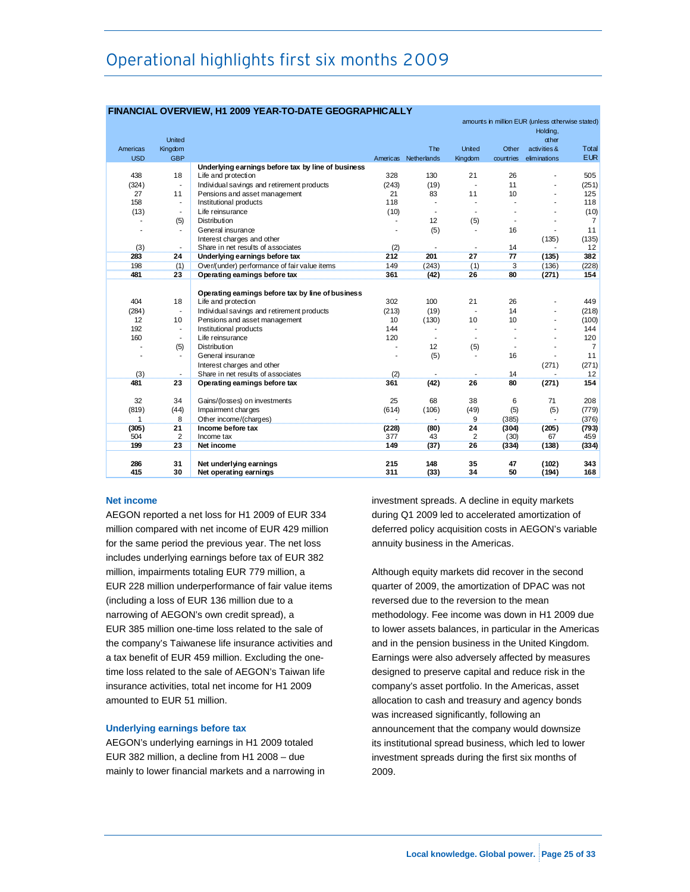# Operational highlights first six months 2009

|            |                          | <u>FINANCIAL OVERVIEW, HI ZUUS TEAR-TO-DATE GEOGRAFFIICALL T</u> |        |                          |                |                  |                                                  |                |
|------------|--------------------------|------------------------------------------------------------------|--------|--------------------------|----------------|------------------|--------------------------------------------------|----------------|
|            |                          |                                                                  |        |                          |                |                  | amounts in million EUR (unless otherwise stated) |                |
|            | United                   |                                                                  |        |                          |                |                  | Holding,<br>other                                |                |
| Americas   | Kingdom                  |                                                                  |        | The                      | United         | Other            | activities &                                     | Total          |
| <b>USD</b> | <b>GBP</b>               |                                                                  |        | Americas Netherlands     | Kingdom        | countries        | eliminations                                     | <b>EUR</b>     |
|            |                          | Underlying earnings before tax by line of business               |        |                          |                |                  |                                                  |                |
| 438        | 18                       | Life and protection                                              | 328    | 130                      | 21             | 26               |                                                  | 505            |
| (324)      | $\overline{\phantom{a}}$ | Individual savings and retirement products                       | (243)  | (19)                     | $\overline{a}$ | 11               |                                                  | (251)          |
| 27         | 11                       | Pensions and asset management                                    | 21     | 83                       | 11             | 10 <sup>10</sup> |                                                  | 125            |
| 158        | $\blacksquare$           | Institutional products                                           | 118    | $\sim$                   |                |                  |                                                  | 118            |
| (13)       | $\blacksquare$           | Life reinsurance                                                 | (10)   | $\overline{\phantom{a}}$ |                |                  |                                                  | (10)           |
|            | (5)                      | Distribution                                                     |        | 12                       | (5)            |                  |                                                  | $\overline{7}$ |
|            | $\blacksquare$           | General insurance                                                |        | (5)                      |                | 16               |                                                  | 11             |
|            |                          | Interest charges and other                                       |        |                          |                |                  | (135)                                            | (135)          |
| (3)        | $\blacksquare$           | Share in net results of associates                               | (2)    |                          |                | 14               |                                                  | 12             |
| 283        | 24                       | Underlying earnings before tax                                   | 212    | 201                      | 27             | 77               | (135)                                            | 382            |
| 198        | (1)                      | Over/(under) performance of fair value items                     | 149    | (243)                    | (1)            | 3                | (136)                                            | (228)          |
| 481        | 23                       | Operating earnings before tax                                    | 361    | (42)                     | 26             | 80               | (271)                                            | 154            |
|            |                          |                                                                  |        |                          |                |                  |                                                  |                |
|            |                          | Operating earnings before tax by line of business                |        |                          |                |                  |                                                  |                |
| 404        | 18                       | Life and protection                                              | 302    | 100                      | 21             | 26               |                                                  | 449            |
| (284)      | $\blacksquare$           | Individual savings and retirement products                       | (213)  | (19)                     |                | 14               |                                                  | (218)          |
| 12         | 10                       | Pensions and asset management                                    | 10     | (130)                    | 10             | 10               |                                                  | (100)          |
| 192        | $\blacksquare$           | Institutional products                                           | 144    |                          |                |                  |                                                  | 144            |
| 160        | $\overline{\phantom{a}}$ | Life reinsurance                                                 | 120    |                          |                |                  |                                                  | 120            |
|            | (5)                      | Distribution                                                     |        | 12                       | (5)            |                  |                                                  | 7              |
|            | $\blacksquare$           | General insurance                                                |        | (5)                      |                | 16               |                                                  | 11             |
|            |                          | Interest charges and other                                       |        |                          |                |                  | (271)                                            | (271)          |
| (3)        | $\overline{\phantom{a}}$ | Share in net results of associates                               | (2)    |                          |                | 14               |                                                  | 12             |
| 481        | 23                       | Operating earnings before tax                                    | 361    | (42)                     | 26             | 80               | (271)                                            | 154            |
|            |                          |                                                                  |        |                          |                |                  |                                                  |                |
| 32         | 34                       | Gains/(losses) on investments                                    | 25     | 68                       | 38             | 6                | 71                                               | 208            |
| (819)      | (44)                     | Impairment charges                                               | (614)  | (106)                    | (49)           | (5)              | (5)                                              | (779)          |
| 1          | 8                        | Other income/(charges)                                           | $\sim$ | $\blacksquare$           | 9              | (385)            |                                                  | (376)          |
| (305)      | 21                       | Income before tax                                                | (228)  | (80)                     | 24             | (304)            | (205)                                            | (793)          |
| 504        | 2                        | Income tax                                                       | 377    | 43                       | 2              | (30)             | 67                                               | 459            |
| 199        | 23                       | Net income                                                       | 149    | (37)                     | 26             | (334)            | (138)                                            | (334)          |
| 286        | 31                       | Net underlying earnings                                          | 215    | 148                      | 35             | 47               | (102)                                            | 343            |
| 415        | 30                       | Net operating earnings                                           | 311    | (33)                     | 34             | 50               | (194)                                            | 168            |
|            |                          |                                                                  |        |                          |                |                  |                                                  |                |

### **FINANCIAL OVERVIEW, H1 2009 YEAR-TO-DATE GEOGRAPHICALLY**

#### **Net income**

AEGON reported a net loss for H1 2009 of EUR 334 million compared with net income of EUR 429 million for the same period the previous year. The net loss includes underlying earnings before tax of EUR 382 million, impairments totaling EUR 779 million, a EUR 228 million underperformance of fair value items (including a loss of EUR 136 million due to a narrowing of AEGON's own credit spread), a EUR 385 million one-time loss related to the sale of the company's Taiwanese life insurance activities and a tax benefit of EUR 459 million. Excluding the onetime loss related to the sale of AEGON's Taiwan life insurance activities, total net income for H1 2009 amounted to EUR 51 million.

#### **Underlying earnings before tax**

AEGON's underlying earnings in H1 2009 totaled EUR 382 million, a decline from H1 2008 – due mainly to lower financial markets and a narrowing in investment spreads. A decline in equity markets during Q1 2009 led to accelerated amortization of deferred policy acquisition costs in AEGON's variable annuity business in the Americas.

Although equity markets did recover in the second quarter of 2009, the amortization of DPAC was not reversed due to the reversion to the mean methodology. Fee income was down in H1 2009 due to lower assets balances, in particular in the Americas and in the pension business in the United Kingdom. Earnings were also adversely affected by measures designed to preserve capital and reduce risk in the company's asset portfolio. In the Americas, asset allocation to cash and treasury and agency bonds was increased significantly, following an announcement that the company would downsize its institutional spread business, which led to lower investment spreads during the first six months of 2009.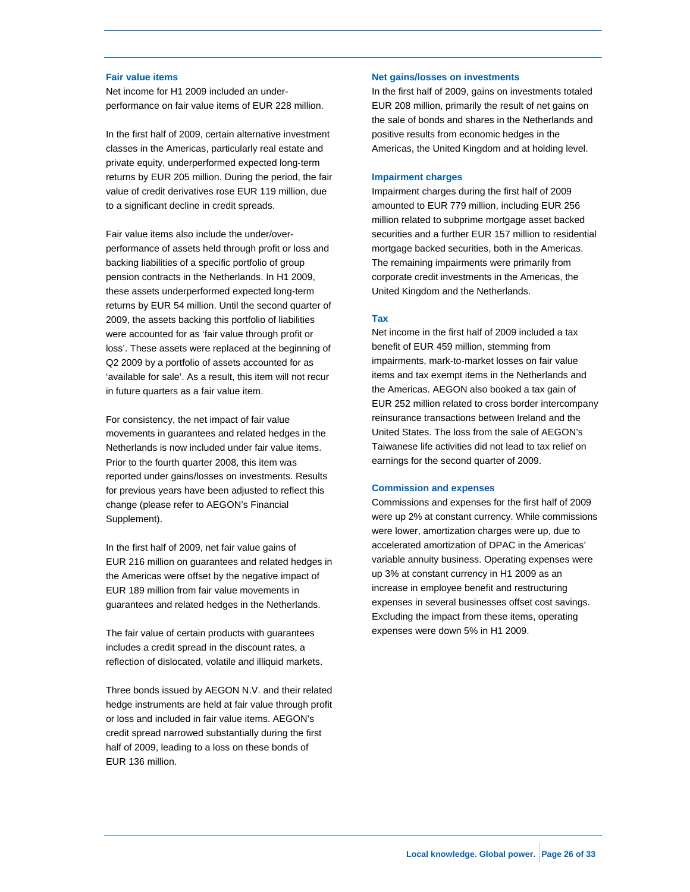#### **Fair value items**

Net income for H1 2009 included an underperformance on fair value items of EUR 228 million.

In the first half of 2009, certain alternative investment classes in the Americas, particularly real estate and private equity, underperformed expected long-term returns by EUR 205 million. During the period, the fair value of credit derivatives rose EUR 119 million, due to a significant decline in credit spreads.

Fair value items also include the under/overperformance of assets held through profit or loss and backing liabilities of a specific portfolio of group pension contracts in the Netherlands. In H1 2009, these assets underperformed expected long-term returns by EUR 54 million. Until the second quarter of 2009, the assets backing this portfolio of liabilities were accounted for as 'fair value through profit or loss'. These assets were replaced at the beginning of Q2 2009 by a portfolio of assets accounted for as 'available for sale'. As a result, this item will not recur in future quarters as a fair value item.

For consistency, the net impact of fair value movements in guarantees and related hedges in the Netherlands is now included under fair value items. Prior to the fourth quarter 2008, this item was reported under gains/losses on investments. Results for previous years have been adjusted to reflect this change (please refer to AEGON's Financial Supplement).

In the first half of 2009, net fair value gains of EUR 216 million on guarantees and related hedges in the Americas were offset by the negative impact of EUR 189 million from fair value movements in guarantees and related hedges in the Netherlands.

The fair value of certain products with guarantees includes a credit spread in the discount rates, a reflection of dislocated, volatile and illiquid markets.

Three bonds issued by AEGON N.V. and their related hedge instruments are held at fair value through profit or loss and included in fair value items. AEGON's credit spread narrowed substantially during the first half of 2009, leading to a loss on these bonds of EUR 136 million.

#### **Net gains/losses on investments**

In the first half of 2009, gains on investments totaled EUR 208 million, primarily the result of net gains on the sale of bonds and shares in the Netherlands and positive results from economic hedges in the Americas, the United Kingdom and at holding level.

#### **Impairment charges**

Impairment charges during the first half of 2009 amounted to EUR 779 million, including EUR 256 million related to subprime mortgage asset backed securities and a further EUR 157 million to residential mortgage backed securities, both in the Americas. The remaining impairments were primarily from corporate credit investments in the Americas, the United Kingdom and the Netherlands.

#### **Tax**

Net income in the first half of 2009 included a tax benefit of EUR 459 million, stemming from impairments, mark-to-market losses on fair value items and tax exempt items in the Netherlands and the Americas. AEGON also booked a tax gain of EUR 252 million related to cross border intercompany reinsurance transactions between Ireland and the United States. The loss from the sale of AEGON's Taiwanese life activities did not lead to tax relief on earnings for the second quarter of 2009.

#### **Commission and expenses**

Commissions and expenses for the first half of 2009 were up 2% at constant currency. While commissions were lower, amortization charges were up, due to accelerated amortization of DPAC in the Americas' variable annuity business. Operating expenses were up 3% at constant currency in H1 2009 as an increase in employee benefit and restructuring expenses in several businesses offset cost savings. Excluding the impact from these items, operating expenses were down 5% in H1 2009.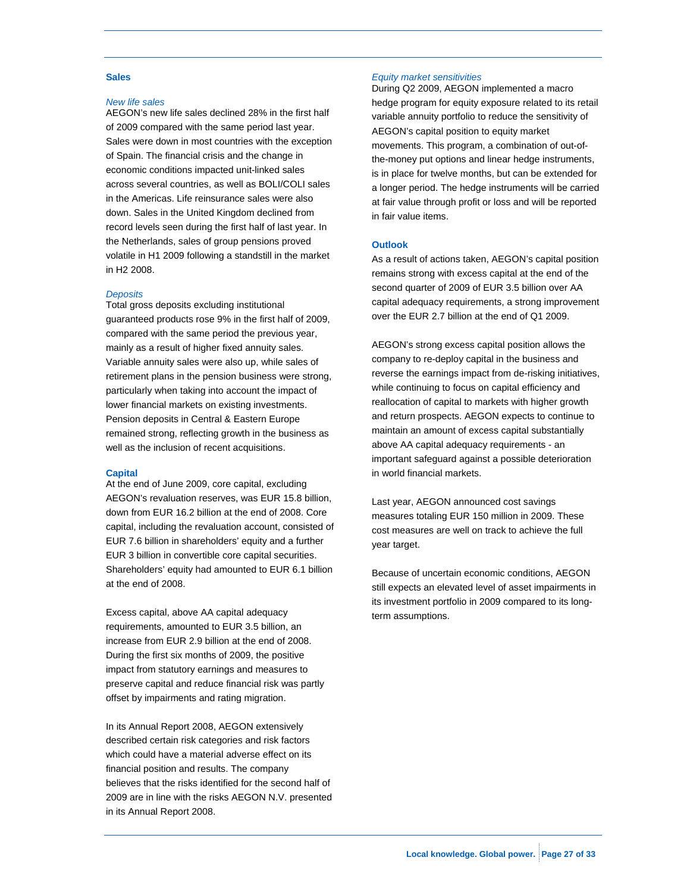#### **Sales**

#### *New life sales*

AEGON's new life sales declined 28% in the first half of 2009 compared with the same period last year. Sales were down in most countries with the exception of Spain. The financial crisis and the change in economic conditions impacted unit-linked sales across several countries, as well as BOLI/COLI sales in the Americas. Life reinsurance sales were also down. Sales in the United Kingdom declined from record levels seen during the first half of last year. In the Netherlands, sales of group pensions proved volatile in H1 2009 following a standstill in the market in H2 2008.

#### *Deposits*

Total gross deposits excluding institutional guaranteed products rose 9% in the first half of 2009, compared with the same period the previous year, mainly as a result of higher fixed annuity sales. Variable annuity sales were also up, while sales of retirement plans in the pension business were strong, particularly when taking into account the impact of lower financial markets on existing investments. Pension deposits in Central & Eastern Europe remained strong, reflecting growth in the business as well as the inclusion of recent acquisitions.

#### **Capital**

At the end of June 2009, core capital, excluding AEGON's revaluation reserves, was EUR 15.8 billion, down from EUR 16.2 billion at the end of 2008. Core capital, including the revaluation account, consisted of EUR 7.6 billion in shareholders' equity and a further EUR 3 billion in convertible core capital securities. Shareholders' equity had amounted to EUR 6.1 billion at the end of 2008.

Excess capital, above AA capital adequacy requirements, amounted to EUR 3.5 billion, an increase from EUR 2.9 billion at the end of 2008. During the first six months of 2009, the positive impact from statutory earnings and measures to preserve capital and reduce financial risk was partly offset by impairments and rating migration.

In its Annual Report 2008, AEGON extensively described certain risk categories and risk factors which could have a material adverse effect on its financial position and results. The company believes that the risks identified for the second half of 2009 are in line with the risks AEGON N.V. presented in its Annual Report 2008.

#### *Equity market sensitivities*

During Q2 2009, AEGON implemented a macro hedge program for equity exposure related to its retail variable annuity portfolio to reduce the sensitivity of AEGON's capital position to equity market movements. This program, a combination of out-ofthe-money put options and linear hedge instruments, is in place for twelve months, but can be extended for a longer period. The hedge instruments will be carried at fair value through profit or loss and will be reported in fair value items.

#### **Outlook**

As a result of actions taken, AEGON's capital position remains strong with excess capital at the end of the second quarter of 2009 of EUR 3.5 billion over AA capital adequacy requirements, a strong improvement over the EUR 2.7 billion at the end of Q1 2009.

AEGON's strong excess capital position allows the company to re-deploy capital in the business and reverse the earnings impact from de-risking initiatives, while continuing to focus on capital efficiency and reallocation of capital to markets with higher growth and return prospects. AEGON expects to continue to maintain an amount of excess capital substantially above AA capital adequacy requirements - an important safeguard against a possible deterioration in world financial markets.

Last year, AEGON announced cost savings measures totaling EUR 150 million in 2009. These cost measures are well on track to achieve the full year target.

Because of uncertain economic conditions, AEGON still expects an elevated level of asset impairments in its investment portfolio in 2009 compared to its longterm assumptions.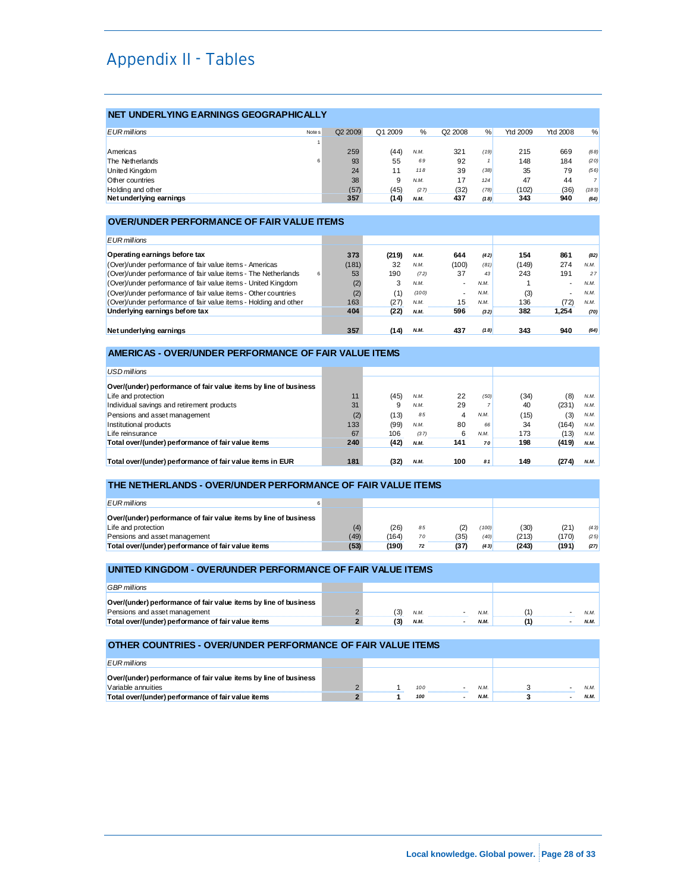# Appendix II - Tables

### **NET UNDERLYING EARNINGS GEOGRAPHICALLY**

| <b>EUR</b> millions     | Note <sub>s</sub> | Q <sub>2</sub> 2009 | Q1 2009 | %    | Q <sub>2</sub> 2008 | %    | <b>Ytd 2009</b> | <b>Ytd 2008</b> | %     |
|-------------------------|-------------------|---------------------|---------|------|---------------------|------|-----------------|-----------------|-------|
|                         |                   |                     |         |      |                     |      |                 |                 |       |
| Americas                |                   | 259                 | (44)    | N.M. | 321                 | (19) | 215             | 669             | (68)  |
| The Netherlands         | 6                 | 93                  | 55      | 69   | 92                  |      | 148             | 184             | (20)  |
| United Kingdom          |                   | 24                  |         | 118  | 39                  | (38) | 35              | 79              | (56)  |
| Other countries         |                   | 38                  | 9       | N.M. | 17                  | 124  | 47              | 44              |       |
| Holding and other       |                   | (57)                | (45)    | (27) | (32)                | (78) | (102)           | (36)            | (183) |
| Net underlying earnings |                   | 357                 | (14)    | N.M. | 437                 | (18) | 343             | 940             | (64)  |

#### **OVER/UNDER PERFORMANCE OF FAIR VALUE ITEMS**

| EUR millions                                                        |       |       |       |                          |      |       |                          |      |
|---------------------------------------------------------------------|-------|-------|-------|--------------------------|------|-------|--------------------------|------|
| Operating earnings before tax                                       | 373   | (219) | N.M.  | 644                      | (42) | 154   | 861                      | (82) |
| (Over)/under performance of fair value items - Americas             | (181) | 32    | N.M.  | (100)                    | (81) | (149) | 274                      | N.M. |
| (Over)/under performance of fair value items - The Netherlands<br>6 | 53    | 190   | (72)  | 37                       | 43   | 243   | 191                      | 27   |
| (Over)/under performance of fair value items - United Kingdom       | (2)   | 3     | N.M.  | $\overline{\phantom{a}}$ | N.M. |       | $\overline{\phantom{a}}$ | N.M. |
| (Over)/under performance of fair value items - Other countries      | (2)   | (1)   | (100) | $\overline{\phantom{a}}$ | N.M. | (3)   | $\overline{\phantom{a}}$ | N.M. |
| (Over)/under performance of fair value items - Holding and other    | 163   | (27)  | N.M.  | 15                       | N.M  | 136   | (72)                     | N.M. |
| Underlying earnings before tax                                      | 404   | (22)  | N.M.  | 596                      | (32) | 382   | 1.254                    | (70) |
|                                                                     |       |       |       |                          |      |       |                          |      |
| Net underlying earnings                                             | 357   | (14)  | N.M.  | 437                      | (18) | 343   | 940                      | (64) |

### **AMERICAS - OVER/UNDER PERFORMANCE OF FAIR VALUE ITEMS**

| <b>USD</b> millions                                              |     |      |      |     |      |      |       |      |
|------------------------------------------------------------------|-----|------|------|-----|------|------|-------|------|
|                                                                  |     |      |      |     |      |      |       |      |
| Over/(under) performance of fair value items by line of business |     |      |      |     |      |      |       |      |
| Life and protection                                              | 11  | (45) | N.M. | 22  | (50) | (34) | (8)   | N.M. |
| Individual savings and retirement products                       | 31  | 9    | N.M. | 29  |      | 40   | (231) | N.M. |
| Pensions and asset management                                    | (2) | (13) | 85   | 4   | N.M. | (15) | (3)   | N.M. |
| Institutional products                                           | 133 | (99) | N.M. | 80  | 66   | 34   | (164) | N.M. |
| Life reinsurance                                                 | 67  | 106  | (37) | 6   | N.M. | 173  | (13)  | N.M. |
| Total over/(under) performance of fair value items               | 240 | (42) | N.M. | 141 | 70   | 198  | (419) | N.M. |
|                                                                  |     |      |      |     |      |      |       |      |
| Total over/(under) performance of fair value items in EUR        | 181 | (32) | N.M. | 100 | 81   | 149  | (274) | N.M. |

#### **THE NETHERLANDS - OVER/UNDER PERFORMANCE OF FAIR VALUE ITEMS**

| <b>EUR</b> millions                                              |      |       |    |      |       |       |       |       |
|------------------------------------------------------------------|------|-------|----|------|-------|-------|-------|-------|
| Over/(under) performance of fair value items by line of business |      |       |    |      |       |       |       |       |
| Life and protection                                              | (4)  | (26)  | 85 | (2)  | (100) | (30)  | (21)  | (43)  |
| Pensions and asset management                                    | (49) | (164) | 70 | (35) | (40)  | (213) | (170) | (2.5) |
| Total over/(under) performance of fair value items               | (53) | (190) | 72 | (37  | (43)  | (243) | (191) | (27)  |

#### **UNITED KINGDOM - OVER/UNDER PERFORMANCE OF FAIR VALUE ITEMS**

| <b>GBP</b> millions                                              |     |      |      |  |      |
|------------------------------------------------------------------|-----|------|------|--|------|
| Over/(under) performance of fair value items by line of business |     |      |      |  |      |
| Pensions and asset management                                    | (3) | N.M. | N.M  |  | N.M. |
| Total over/(under) performance of fair value items               |     | N.M. | N.M. |  | N.M. |

# **OTHER COUNTRIES - OVER/UNDER PERFORMANCE OF FAIR VALUE ITEMS**  *EUR millions*

| ___                                                              |  |     |             |      |
|------------------------------------------------------------------|--|-----|-------------|------|
| Over/(under) performance of fair value items by line of business |  |     |             |      |
| Variable annuities                                               |  | 100 |             |      |
| Total over/(under) performance of fair value items               |  | 100 | <b>N.M.</b> | N.M. |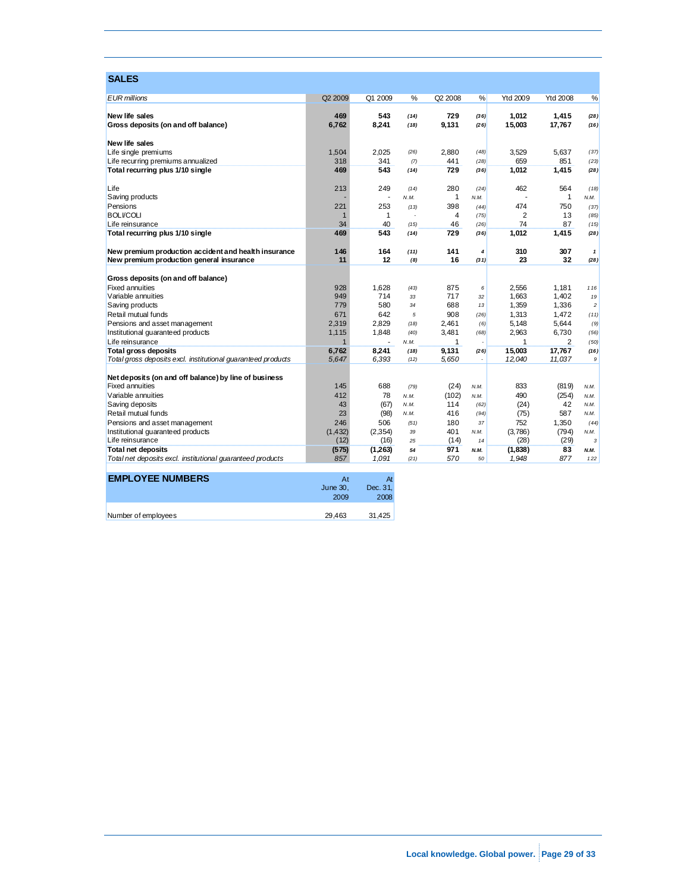| <b>SALES</b>                                                 |                      |              |                |                     |                |                 |                 |                      |
|--------------------------------------------------------------|----------------------|--------------|----------------|---------------------|----------------|-----------------|-----------------|----------------------|
| <b>EUR</b> millions                                          | Q <sub>2</sub> 2009  | Q1 2009      | %              | Q <sub>2</sub> 2008 | %              | <b>Ytd 2009</b> | <b>Ytd 2008</b> | %                    |
| <b>New life sales</b>                                        | 469                  | 543          |                | 729                 |                | 1.012           | 1.415           |                      |
| Gross deposits (on and off balance)                          | 6,762                | 8,241        | (14)<br>(18)   | 9,131               | (36)<br>(26)   | 15,003          | 17,767          | (28)<br>(16)         |
|                                                              |                      |              |                |                     |                |                 |                 |                      |
| <b>New life sales</b>                                        |                      |              |                |                     |                |                 |                 |                      |
| Life single premiums                                         | 1,504                | 2.025        | (26)           | 2.880               | (48)           | 3.529           | 5.637           | (37)                 |
| Life recurring premiums annualized                           | 318                  | 341          | (7)            | 441                 | (28)           | 659             | 851             | (23)                 |
| Total recurring plus 1/10 single                             | 469                  | 543          | (14)           | 729                 | (36)           | 1,012           | 1.415           | (28)                 |
| Life                                                         | 213                  | 249          | (14)           | 280                 | (24)           | 462             | 564             | (18)                 |
| Saving products                                              |                      |              | N.M.           | $\mathbf{1}$        | N.M.           | J.              | $\mathbf{1}$    | N.M.                 |
| Pensions                                                     | 221                  | 253          | (13)           | 398                 | (44)           | 474             | 750             | (37)                 |
| <b>BOLI/COLI</b>                                             | $\mathbf 1$          | $\mathbf{1}$ | $\overline{a}$ | $\overline{4}$      | (75)           | 2               | 13              | (85)                 |
| Life reinsurance                                             | 34                   | 40           | (15)           | 46                  | (26)           | 74              | 87              | (15)                 |
| Total recurring plus 1/10 single                             | 469                  | 543          | (14)           | 729                 | (36)           | 1,012           | 1,415           | (28)                 |
| New premium production accident and health insurance         | 146                  | 164          | (11)           | 141                 | $\overline{4}$ | 310             | 307             | $\mathbf{1}$         |
| New premium production general insurance                     | 11                   | 12           | (8)            | 16                  | (31)           | 23              | 32              | (28)                 |
| Gross deposits (on and off balance)                          |                      |              |                |                     |                |                 |                 |                      |
| <b>Fixed annuities</b>                                       | 928<br>949           | 1,628<br>714 | (43)           | 875<br>717          | 6              | 2,556           | 1,181<br>1.402  | 116                  |
| Variable annuities<br>Saving products                        | 779                  | 580          | 33<br>34       | 688                 | 32<br>13       | 1.663<br>1,359  | 1,336           | 19<br>$\overline{c}$ |
| Retail mutual funds                                          | 671                  | 642          | 5              | 908                 | (26)           | 1,313           | 1.472           |                      |
| Pensions and asset management                                | 2,319                | 2,829        | (18)           | 2,461               | (6)            | 5,148           | 5,644           | (11)<br>(9)          |
| Institutional guaranteed products                            | 1,115                | 1.848        | (40)           | 3.481               | (68)           | 2,963           | 6.730           | (56)                 |
| Life reinsurance                                             | $\blacktriangleleft$ |              | N.M.           | $\mathbf{1}$        |                | 1               | 2               | (50)                 |
| <b>Total gross deposits</b>                                  | 6,762                | 8.241        | (18)           | 9.131               | (26)           | 15.003          | 17,767          | (16)                 |
| Total gross deposits excl. institutional guaranteed products | 5,647                | 6,393        | (12)           | 5,650               |                | 12,040          | 11,037          | 9                    |
|                                                              |                      |              |                |                     |                |                 |                 |                      |
| Net deposits (on and off balance) by line of business        |                      |              |                |                     |                |                 |                 |                      |
| <b>Fixed annuities</b>                                       | 145                  | 688          | (79)           | (24)                | N.M.           | 833             | (819)           | N.M.                 |
| Variable annuities                                           | 412                  | 78           | N.M.           | (102)               | N.M.           | 490             | (254)           | N.M.                 |
| Saving deposits                                              | 43                   | (67)         | N.M.           | 114                 | (62)           | (24)            | 42              | N.M.                 |
| Retail mutual funds                                          | 23                   | (98)         | N.M.           | 416                 | (94)           | (75)            | 587             | N.M.                 |
| Pensions and asset management                                | 246                  | 506          | (51)           | 180                 | 37             | 752             | 1,350           | (44)                 |
| Institutional guaranteed products                            | (1, 432)             | (2,354)      | 39             | 401                 | N.M.           | (3,786)         | (794)           | N.M.                 |
| Life reinsurance                                             | (12)                 | (16)         | 25             | (14)                | 14             | (28)            | (29)            | 3                    |
| <b>Total net deposits</b>                                    | (575)                | (1,263)      | 54             | 971                 | N.M.           | (1,838)         | 83              | N.M.                 |
| Total net deposits excl. institutional guaranteed products   | 857                  | 1,091        | (21)           | 570                 | 50             | 1,948           | 877             | 122                  |
| <b>EMPLOYEE NUMBERS</b>                                      | At                   | At           |                |                     |                |                 |                 |                      |
|                                                              | June 30,             | Dec. 31,     |                |                     |                |                 |                 |                      |
|                                                              | 2009                 | 2008         |                |                     |                |                 |                 |                      |
|                                                              | 29.463               | 31.425       |                |                     |                |                 |                 |                      |
| Number of employees                                          |                      |              |                |                     |                |                 |                 |                      |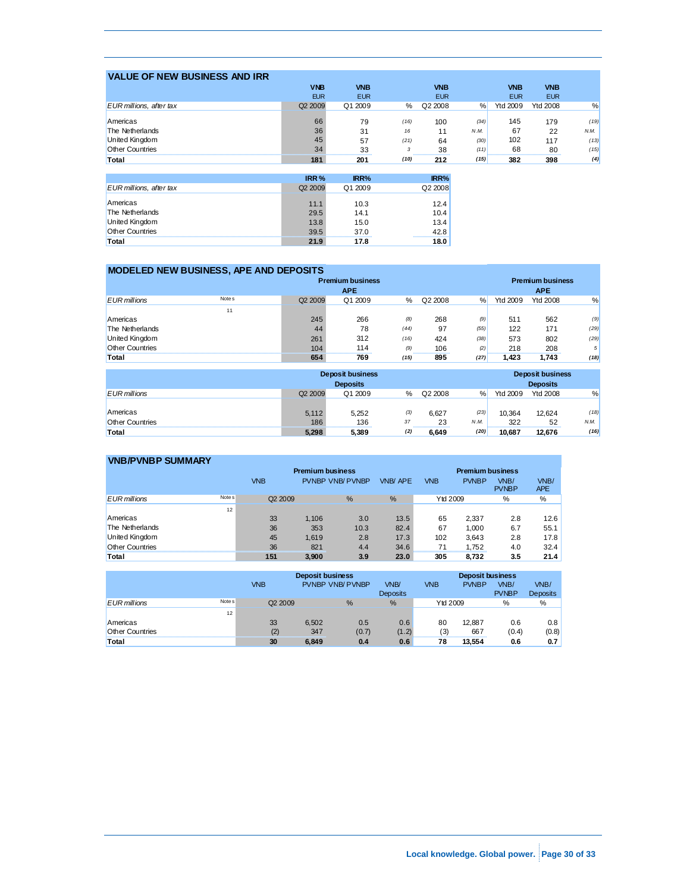| <b>VALUE OF NEW BUSINESS AND IRR</b> |                     |             |      |            |      |                 |                 |      |
|--------------------------------------|---------------------|-------------|------|------------|------|-----------------|-----------------|------|
|                                      | <b>VNB</b>          | <b>VNB</b>  |      | <b>VNB</b> |      | <b>VNB</b>      | <b>VNB</b>      |      |
|                                      | <b>EUR</b>          | <b>EUR</b>  |      | <b>EUR</b> |      | <b>EUR</b>      | <b>EUR</b>      |      |
| EUR millions, after tax              | Q <sub>2</sub> 2009 | Q1 2009     | %    | Q2 2008    | %    | <b>Ytd 2009</b> | <b>Ytd 2008</b> | %    |
|                                      |                     |             |      |            |      |                 |                 |      |
| Americas                             | 66                  | 79          | (16) | 100        | (34) | 145             | 179             | (19) |
| The Netherlands                      | 36                  | 31          | 16   | 11         | N.M. | 67              | 22              | N.M. |
| United Kingdom                       | 45                  | 57          | (21) | 64         | (30) | 102             | 117             | (13) |
| <b>Other Countries</b>               | 34                  | 33<br>      | 3    | 38<br>     | (11) | 68              | 80<br>.         | (15) |
| Total                                | 181                 | 201         | (10) | 212        | (15) | 382             | 398             | (4)  |
|                                      |                     |             |      |            |      |                 |                 |      |
|                                      | IRR <sub>%</sub>    | <b>IRR%</b> |      | IRR%       |      |                 |                 |      |
| EUR millions, after tax              | Q <sub>2</sub> 2009 | Q1 2009     |      | Q2 2008    |      |                 |                 |      |
| Americas                             | 11.1                | 10.3        |      | 12.4       |      |                 |                 |      |
| The Netherlands                      | 29.5                | 14.1        |      | 10.4       |      |                 |                 |      |
|                                      |                     |             |      |            |      |                 |                 |      |
| United Kingdom                       | 13.8                | 15.0        |      | 13.4       |      |                 |                 |      |
| <b>Other Countries</b>               | 39.5                | 37.0        |      | 42.8       |      |                 |                 |      |
| Total                                | 21.9                | 17.8        |      | 18.0       |      |                 |                 |      |

| MODELED NEW BUSINESS, APE AND DEPOSITS |                   |                     |            |      |         |      |                         |                         |      |  |
|----------------------------------------|-------------------|---------------------|------------|------|---------|------|-------------------------|-------------------------|------|--|
| <b>Premium business</b>                |                   |                     |            |      |         |      |                         | <b>Premium business</b> |      |  |
|                                        |                   |                     | <b>APE</b> |      |         |      |                         | <b>APE</b>              |      |  |
| <b>EUR</b> millions                    | Note <sub>s</sub> | Q <sub>2</sub> 2009 | Q1 2009    | %    | Q2 2008 | %    | Ytd 2009                | <b>Ytd 2008</b>         | %    |  |
|                                        | 11                |                     |            |      |         |      |                         |                         |      |  |
| Americas                               |                   | 245                 | 266        | (8)  | 268     | (9)  | 511                     | 562                     | (9)  |  |
| The Netherlands                        |                   | 44                  | 78         | (44) | 97      | (55) | 122                     | 171                     | (29) |  |
| United Kingdom                         |                   | 261                 | 312        | (16) | 424     | (38) | 573                     | 802                     | (29) |  |
| Other Countries                        |                   | 104                 | 114        | (9)  | 106     | (2)  | 218                     | 208                     | 5    |  |
| Total                                  |                   | 654                 | 769        | (15) | 895     | (27) | 1.423                   | 1.743                   | (18) |  |
|                                        |                   |                     |            |      |         |      |                         |                         |      |  |
| <b>Deposit business</b>                |                   |                     |            |      |         |      | <b>Deposit business</b> |                         |      |  |
| <b>Deposits</b>                        |                   |                     |            |      |         |      |                         | <b>Deposits</b>         |      |  |

|                        |                     | <b>Deposits</b> |     |         |      |          | <b>Deposits</b> |      |
|------------------------|---------------------|-----------------|-----|---------|------|----------|-----------------|------|
| <b>EUR</b> millions    | Q <sub>2</sub> 2009 | Q1 2009         | %   | Q2 2008 | %    | Ytd 2009 | <b>Ytd 2008</b> | %    |
|                        |                     |                 |     |         |      |          |                 |      |
| Americas               | 5.112               | 5.252           | (3) | 6.627   | (23) | 10.364   | 12.624          | (18) |
| <b>Other Countries</b> | 186                 | 136             | 37  | 23      | N.M. | 322      | 52              | N.M. |
| Total                  | 5.298               | 5,389           | (2) | 6.649   | (20) | 10.687   | 12.676          | (16) |

| <b>VNB/PVNBP SUMMARY</b> |                   |                     |                         |                         |                |                 |              |                      |                    |
|--------------------------|-------------------|---------------------|-------------------------|-------------------------|----------------|-----------------|--------------|----------------------|--------------------|
|                          |                   |                     | <b>Premium business</b> | <b>Premium business</b> |                |                 |              |                      |                    |
|                          |                   | <b>VNB</b>          |                         | <b>PVNBP VNB/ PVNBP</b> | <b>VNB/APE</b> | <b>VNB</b>      | <b>PVNBP</b> | VNB/<br><b>PVNBP</b> | VNB/<br><b>APE</b> |
| <b>EUR</b> millions      | Note <sub>s</sub> | Q <sub>2</sub> 2009 |                         | %                       | %              | <b>Ytd 2009</b> |              | %                    | %                  |
|                          | 12                |                     |                         |                         |                |                 |              |                      |                    |
| Americas                 |                   | 33                  | 1.106                   | 3.0                     | 13.5           | 65              | 2.337        | 2.8                  | 12.6               |
| The Netherlands          |                   | 36                  | 353                     | 10.3                    | 82.4           | 67              | 1.000        | 6.7                  | 55.1               |
| United Kingdom           |                   | 45                  | 1.619                   | 2.8                     | 17.3           | 102             | 3.643        | 2.8                  | 17.8               |
| <b>Other Countries</b>   |                   | 36                  | 821                     | 4.4                     | 34.6           | 71<br>          | 1.752        | 4.0                  | 32.4               |
| Total                    |                   | 151                 | 3.900                   | 3.9                     | 23.0           | 305             | 8.732        | 3.5                  | 21.4               |

|                        |                   |                     | <b>Deposit business</b> |                         | <b>Deposit business</b> |            |              |                      |                         |
|------------------------|-------------------|---------------------|-------------------------|-------------------------|-------------------------|------------|--------------|----------------------|-------------------------|
|                        |                   | <b>VNB</b>          |                         | <b>PVNBP VNB/ PVNBP</b> | VNB/<br><b>Deposits</b> | <b>VNB</b> | <b>PVNBP</b> | VNB/<br><b>PVNBP</b> | VNB/<br><b>Deposits</b> |
| <b>EUR</b> millions    | Note <sub>s</sub> | Q <sub>2</sub> 2009 |                         | %                       | %                       | Ytd 2009   |              | %                    | %                       |
|                        | 12                |                     |                         |                         |                         |            |              |                      |                         |
| Americas               |                   | 33                  | 6.502                   | 0.5                     | 0.6                     | 80         | 12.887       | 0.6                  | 0.8                     |
| <b>Other Countries</b> |                   | (2)                 | 347                     | (0.7)                   | (1.2)                   | (3)        | 667          | (0.4)                | (0.8)                   |
| Total                  |                   | 30                  | 6.849                   | 0.4                     | 0.6                     | 78         | 13.554       | 0.6                  | 0.7                     |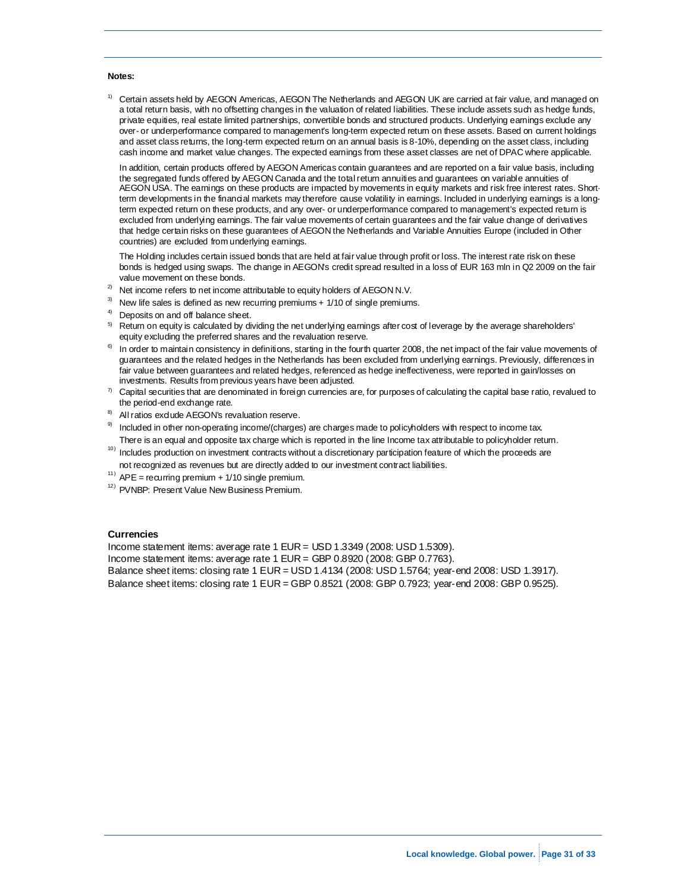#### **Notes:**

 $1)$  Certain assets held by AEGON Americas, AEGON The Netherlands and AEGON UK are carried at fair value, and managed on a total return basis, with no offsetting changes in the valuation of related liabilities. These include assets such as hedge funds, private equities, real estate limited partnerships, convertible bonds and structured products. Underlying earnings exclude any over- or underperformance compared to management's long-term expected return on these assets. Based on current holdings and asset class returns, the long-term expected return on an annual basis is 8-10%, depending on the asset class, including cash income and market value changes. The expected earnings from these asset classes are net of DPAC where applicable.

In addition, certain products offered by AEGON Americas contain guarantees and are reported on a fair value basis, including the segregated funds offered by AEGON Canada and the total return annuities and guarantees on variable annuities of AEGON USA. The earnings on these products are impacted by movements in equity markets and risk free interest rates. Shortterm developments in the financial markets may therefore cause volatility in earnings. Included in underlying earnings is a longterm expected return on these products, and any over- or underperformance compared to management's expected return is excluded from underlying earnings. The fair value movements of certain guarantees and the fair value change of derivatives that hedge certain risks on these guarantees of AEGON the Netherlands and Variable Annuities Europe (included in Other countries) are excluded from underlying earnings.

The Holding includes certain issued bonds that are held at fair value through profit or loss. The interest rate risk on these bonds is hedged using swaps. The change in AEGON's credit spread resulted in a loss of EUR 163 mln in Q2 2009 on the fair

- 
- 
- 
- value movement on these bonds.<br>
<sup>2)</sup> Net income refers to net income attributable to equity holders of AEGON N.V.<br>
<sup>3)</sup> New life sales is defined as new recurring premiums + 1/10 of single premiums.<br>
<sup>4)</sup> Deposits on and o equity excluding the preferred shares and the revaluation reserve.<br><sup>6)</sup> In order to maintain consistency in definitions, starting in the fourth quarter 2008, the net impact of the fair value movements of
- guarantees and the related hedges in the Netherlands has been excluded from underlying earnings. Previously, differences in fair value between guarantees and related hedges, referenced as hedge ineffectiveness, were reported in gain/losses on<br>investments. Results from previous years have been adjusted.
- $\eta$  Capital securities that are denominated in foreign currencies are, for purposes of calculating the capital base ratio, revalued to the period-end exchange rate.<br>All ratios exclude AEGON's revaluation reserve.<br>Included in other non-operating income/(charges) are charges made to policyholders with respect to income tax.
- 
- 
- There is an equal and opposite tax charge which is reported in the line Income tax attributable to policyholder return.<br>
<sup>10)</sup> Includes production on investment contracts without a discretionary participation feature of wh not recognized as revenues but are directly added to our investment contract liabilities.<br>
<sup>11)</sup> APE = recurring premium + 1/10 single premium.<br>
<sup>12)</sup> PVNBP: Present Value New Business Premium.
- 
- 

#### **Currencies**

Income statement items: average rate 1 EUR = USD 1.3349 (2008: USD 1.5309).

Income statement items: average rate 1 EUR = GBP 0.8920 (2008: GBP 0.7763).

Balance sheet items: closing rate 1 EUR = USD 1.4134 (2008: USD 1.5764; year-end 2008: USD 1.3917).

Balance sheet items: closing rate 1 EUR = GBP 0.8521 (2008: GBP 0.7923; year-end 2008: GBP 0.9525).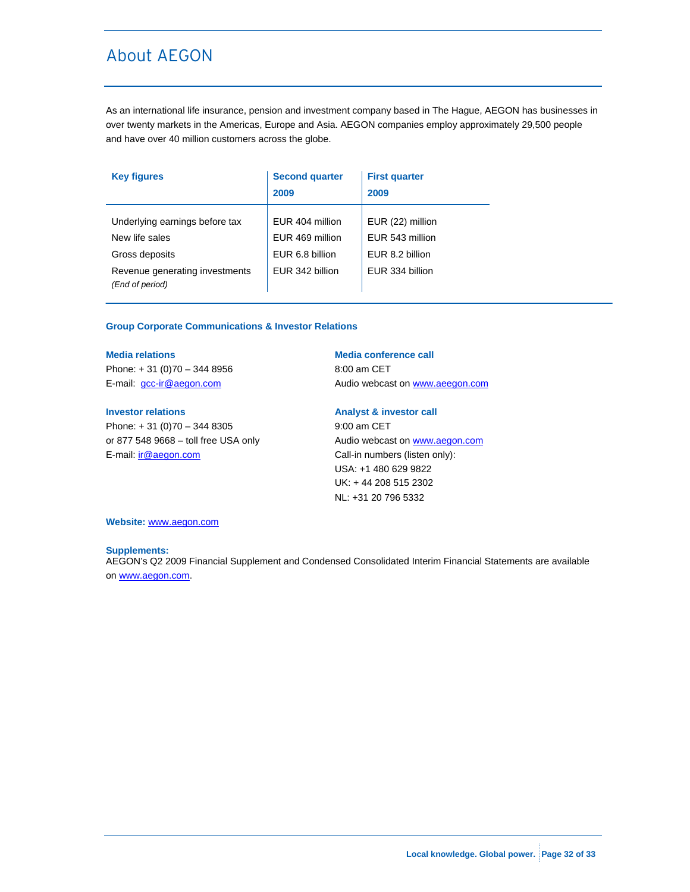# About AEGON

As an international life insurance, pension and investment company based in The Hague, AEGON has businesses in over twenty markets in the Americas, Europe and Asia. AEGON companies employ approximately 29,500 people and have over 40 million customers across the globe.

| <b>Key figures</b>                                                                                                      | <b>Second quarter</b><br>2009                                            | <b>First quarter</b><br>2009                                              |
|-------------------------------------------------------------------------------------------------------------------------|--------------------------------------------------------------------------|---------------------------------------------------------------------------|
| Underlying earnings before tax<br>New life sales<br>Gross deposits<br>Revenue generating investments<br>(End of period) | EUR 404 million<br>EUR 469 million<br>EUR 6.8 billion<br>EUR 342 billion | EUR (22) million<br>EUR 543 million<br>EUR 8.2 billion<br>EUR 334 billion |

#### **Group Corporate Communications & Investor Relations**

**Media relations**  Phone: + 31 (0)70 – 344 8956 E-mail: gcc-ir@aegon.com

#### **Investor relations**

Phone: + 31 (0)70 – 344 8305 or 877 548 9668 – toll free USA only E-mail: ir@aegon.com

### **Media conference call**  8:00 am CET Audio webcast on www.aeegon.com

**Analyst & investor call** 

9:00 am CET Audio webcast on www.aegon.com Call-in numbers (listen only): USA: +1 480 629 9822 UK: + 44 208 515 2302 NL: +31 20 796 5332

#### **Website:** www.aegon.com

#### **Supplements:**

AEGON's Q2 2009 Financial Supplement and Condensed Consolidated Interim Financial Statements are available on www.aegon.com.